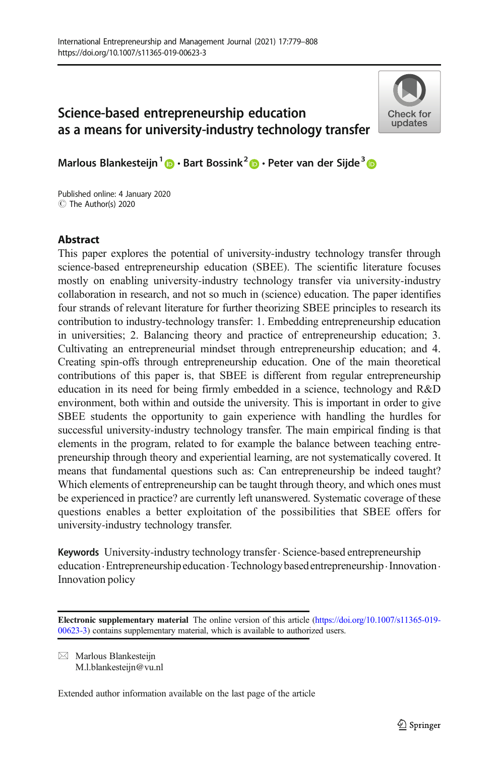# Science-based entrepreneurship education as a means for university-industry technology transfer



Marlous Blankesteijn<sup>1</sup>  $\bigcirc$  · Bart Bossink<sup>2</sup>  $\bigcirc$  · Peter van der Sijde<sup>3</sup>  $\bigcirc$ 

C The Author(s) 2020 Published online: 4 January 2020

# **Abstract**

This paper explores the potential of university-industry technology transfer through science-based entrepreneurship education (SBEE). The scientific literature focuses mostly on enabling university-industry technology transfer via university-industry collaboration in research, and not so much in (science) education. The paper identifies four strands of relevant literature for further theorizing SBEE principles to research its contribution to industry-technology transfer: 1. Embedding entrepreneurship education in universities; 2. Balancing theory and practice of entrepreneurship education; 3. Cultivating an entrepreneurial mindset through entrepreneurship education; and 4. Creating spin-offs through entrepreneurship education. One of the main theoretical contributions of this paper is, that SBEE is different from regular entrepreneurship education in its need for being firmly embedded in a science, technology and R&D environment, both within and outside the university. This is important in order to give SBEE students the opportunity to gain experience with handling the hurdles for successful university-industry technology transfer. The main empirical finding is that elements in the program, related to for example the balance between teaching entrepreneurship through theory and experiential learning, are not systematically covered. It means that fundamental questions such as: Can entrepreneurship be indeed taught? Which elements of entrepreneurship can be taught through theory, and which ones must be experienced in practice? are currently left unanswered. Systematic coverage of these questions enables a better exploitation of the possibilities that SBEE offers for university-industry technology transfer.

Keywords University-industry technology transfer · Science-based entrepreneurship education · Entrepreneurship education · Technology based entrepreneurship · Innovation · Innovation policy

Electronic supplementary material The online version of this article ([https://doi.org/10.1007/s11365-019-](https://doi.org/10.1007/s11365-019-00623-3) [00623-3\)](https://doi.org/10.1007/s11365-019-00623-3) contains supplementary material, which is available to authorized users.

 $\boxtimes$  Marlous Blankesteijn [M.l.blankesteijn@vu.nl](mailto:M.l.blankesteijn@vu.nl)

Extended author information available on the last page of the article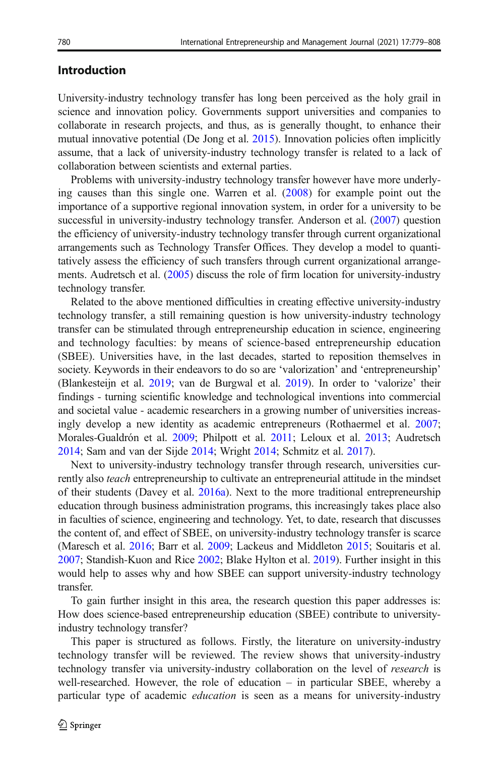### Introduction

University-industry technology transfer has long been perceived as the holy grail in science and innovation policy. Governments support universities and companies to collaborate in research projects, and thus, as is generally thought, to enhance their mutual innovative potential (De Jong et al. [2015\)](#page-27-0). Innovation policies often implicitly assume, that a lack of university-industry technology transfer is related to a lack of collaboration between scientists and external parties.

Problems with university-industry technology transfer however have more underlying causes than this single one. Warren et al. ([2008\)](#page-29-0) for example point out the importance of a supportive regional innovation system, in order for a university to be successful in university-industry technology transfer. Anderson et al. [\(2007\)](#page-26-0) question the efficiency of university-industry technology transfer through current organizational arrangements such as Technology Transfer Offices. They develop a model to quantitatively assess the efficiency of such transfers through current organizational arrangements. Audretsch et al. [\(2005](#page-26-0)) discuss the role of firm location for university-industry technology transfer.

Related to the above mentioned difficulties in creating effective university-industry technology transfer, a still remaining question is how university-industry technology transfer can be stimulated through entrepreneurship education in science, engineering and technology faculties: by means of science-based entrepreneurship education (SBEE). Universities have, in the last decades, started to reposition themselves in society. Keywords in their endeavors to do so are 'valorization' and 'entrepreneurship' (Blankesteijn et al. [2019;](#page-26-0) van de Burgwal et al. [2019](#page-29-0)). In order to 'valorize' their findings - turning scientific knowledge and technological inventions into commercial and societal value - academic researchers in a growing number of universities increasingly develop a new identity as academic entrepreneurs (Rothaermel et al. [2007;](#page-28-0) Morales-Gualdrón et al. [2009](#page-28-0); Philpott et al. [2011;](#page-28-0) Leloux et al. [2013](#page-27-0); Audretsch [2014;](#page-26-0) Sam and van der Sijde [2014](#page-28-0); Wright [2014](#page-29-0); Schmitz et al. [2017](#page-28-0)).

Next to university-industry technology transfer through research, universities currently also teach entrepreneurship to cultivate an entrepreneurial attitude in the mindset of their students (Davey et al. [2016a\)](#page-27-0). Next to the more traditional entrepreneurship education through business administration programs, this increasingly takes place also in faculties of science, engineering and technology. Yet, to date, research that discusses the content of, and effect of SBEE, on university-industry technology transfer is scarce (Maresch et al. [2016](#page-27-0); Barr et al. [2009;](#page-26-0) Lackeus and Middleton [2015](#page-27-0); Souitaris et al. [2007;](#page-28-0) Standish-Kuon and Rice [2002;](#page-28-0) Blake Hylton et al. [2019\)](#page-26-0). Further insight in this would help to asses why and how SBEE can support university-industry technology transfer.

To gain further insight in this area, the research question this paper addresses is: How does science-based entrepreneurship education (SBEE) contribute to universityindustry technology transfer?

This paper is structured as follows. Firstly, the literature on university-industry technology transfer will be reviewed. The review shows that university-industry technology transfer via university-industry collaboration on the level of research is well-researched. However, the role of education – in particular SBEE, whereby a particular type of academic education is seen as a means for university-industry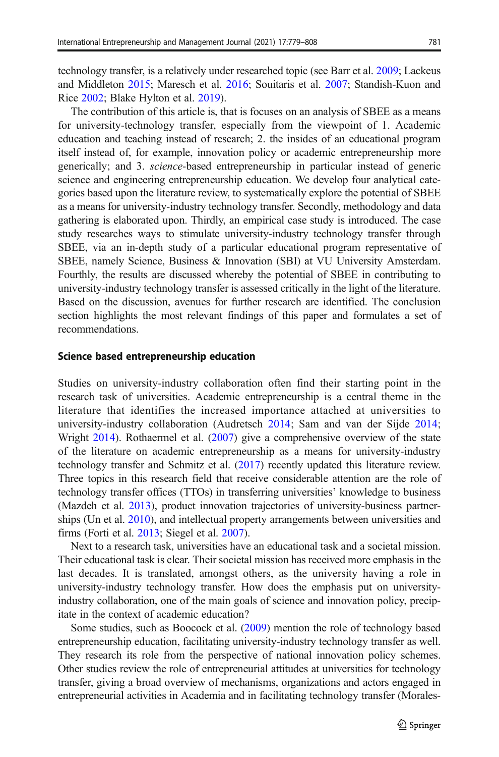technology transfer, is a relatively under researched topic (see Barr et al. [2009](#page-26-0); Lackeus and Middleton [2015](#page-27-0); Maresch et al. [2016;](#page-27-0) Souitaris et al. [2007](#page-28-0); Standish-Kuon and Rice [2002](#page-28-0); Blake Hylton et al. [2019](#page-26-0)).

The contribution of this article is, that is focuses on an analysis of SBEE as a means for university-technology transfer, especially from the viewpoint of 1. Academic education and teaching instead of research; 2. the insides of an educational program itself instead of, for example, innovation policy or academic entrepreneurship more generically; and 3. science-based entrepreneurship in particular instead of generic science and engineering entrepreneurship education. We develop four analytical categories based upon the literature review, to systematically explore the potential of SBEE as a means for university-industry technology transfer. Secondly, methodology and data gathering is elaborated upon. Thirdly, an empirical case study is introduced. The case study researches ways to stimulate university-industry technology transfer through SBEE, via an in-depth study of a particular educational program representative of SBEE, namely Science, Business & Innovation (SBI) at VU University Amsterdam. Fourthly, the results are discussed whereby the potential of SBEE in contributing to university-industry technology transfer is assessed critically in the light of the literature. Based on the discussion, avenues for further research are identified. The conclusion section highlights the most relevant findings of this paper and formulates a set of recommendations.

#### Science based entrepreneurship education

Studies on university-industry collaboration often find their starting point in the research task of universities. Academic entrepreneurship is a central theme in the literature that identifies the increased importance attached at universities to university-industry collaboration (Audretsch [2014](#page-26-0); Sam and van der Sijde [2014;](#page-28-0) Wright [2014](#page-29-0)). Rothaermel et al. [\(2007\)](#page-28-0) give a comprehensive overview of the state of the literature on academic entrepreneurship as a means for university-industry technology transfer and Schmitz et al. ([2017](#page-28-0)) recently updated this literature review. Three topics in this research field that receive considerable attention are the role of technology transfer offices (TTOs) in transferring universities' knowledge to business (Mazdeh et al. [2013\)](#page-28-0), product innovation trajectories of university-business partnerships (Un et al. [2010](#page-28-0)), and intellectual property arrangements between universities and firms (Forti et al. [2013;](#page-27-0) Siegel et al. [2007\)](#page-28-0).

Next to a research task, universities have an educational task and a societal mission. Their educational task is clear. Their societal mission has received more emphasis in the last decades. It is translated, amongst others, as the university having a role in university-industry technology transfer. How does the emphasis put on universityindustry collaboration, one of the main goals of science and innovation policy, precipitate in the context of academic education?

Some studies, such as Boocock et al. [\(2009\)](#page-26-0) mention the role of technology based entrepreneurship education, facilitating university-industry technology transfer as well. They research its role from the perspective of national innovation policy schemes. Other studies review the role of entrepreneurial attitudes at universities for technology transfer, giving a broad overview of mechanisms, organizations and actors engaged in entrepreneurial activities in Academia and in facilitating technology transfer (Morales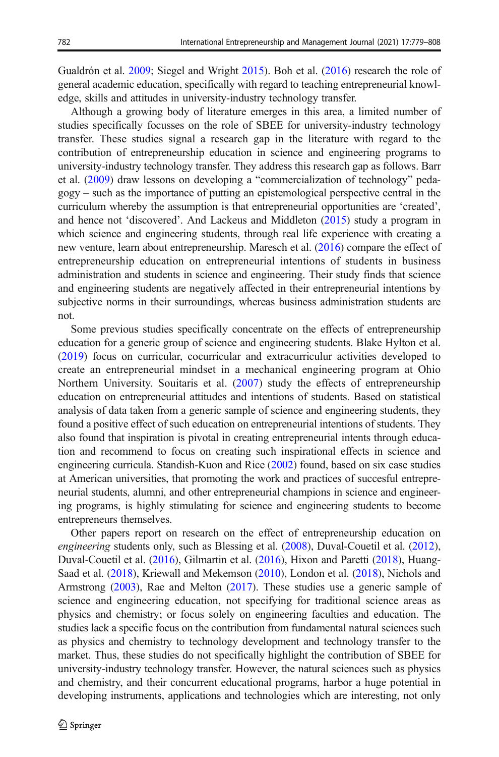Gualdrón et al. [2009;](#page-28-0) Siegel and Wright [2015\)](#page-28-0). Boh et al. [\(2016\)](#page-26-0) research the role of general academic education, specifically with regard to teaching entrepreneurial knowledge, skills and attitudes in university-industry technology transfer.

Although a growing body of literature emerges in this area, a limited number of studies specifically focusses on the role of SBEE for university-industry technology transfer. These studies signal a research gap in the literature with regard to the contribution of entrepreneurship education in science and engineering programs to university-industry technology transfer. They address this research gap as follows. Barr et al. [\(2009\)](#page-26-0) draw lessons on developing a "commercialization of technology" pedagogy – such as the importance of putting an epistemological perspective central in the curriculum whereby the assumption is that entrepreneurial opportunities are 'created', and hence not 'discovered'. And Lackeus and Middleton ([2015](#page-27-0)) study a program in which science and engineering students, through real life experience with creating a new venture, learn about entrepreneurship. Maresch et al. [\(2016\)](#page-27-0) compare the effect of entrepreneurship education on entrepreneurial intentions of students in business administration and students in science and engineering. Their study finds that science and engineering students are negatively affected in their entrepreneurial intentions by subjective norms in their surroundings, whereas business administration students are not.

Some previous studies specifically concentrate on the effects of entrepreneurship education for a generic group of science and engineering students. Blake Hylton et al. [\(2019\)](#page-26-0) focus on curricular, cocurricular and extracurriculur activities developed to create an entrepreneurial mindset in a mechanical engineering program at Ohio Northern University. Souitaris et al. [\(2007](#page-28-0)) study the effects of entrepreneurship education on entrepreneurial attitudes and intentions of students. Based on statistical analysis of data taken from a generic sample of science and engineering students, they found a positive effect of such education on entrepreneurial intentions of students. They also found that inspiration is pivotal in creating entrepreneurial intents through education and recommend to focus on creating such inspirational effects in science and engineering curricula. Standish-Kuon and Rice ([2002](#page-28-0)) found, based on six case studies at American universities, that promoting the work and practices of succesful entrepreneurial students, alumni, and other entrepreneurial champions in science and engineering programs, is highly stimulating for science and engineering students to become entrepreneurs themselves.

Other papers report on research on the effect of entrepreneurship education on engineering students only, such as Blessing et al. [\(2008\)](#page-26-0), Duval-Couetil et al. [\(2012\)](#page-27-0), Duval-Couetil et al. [\(2016\)](#page-27-0), Gilmartin et al. ([2016](#page-27-0)), Hixon and Paretti [\(2018\)](#page-27-0), Huang-Saad et al. [\(2018](#page-27-0)), Kriewall and Mekemson ([2010](#page-27-0)), London et al. ([2018](#page-27-0)), Nichols and Armstrong [\(2003\)](#page-28-0), Rae and Melton ([2017](#page-28-0)). These studies use a generic sample of science and engineering education, not specifying for traditional science areas as physics and chemistry; or focus solely on engineering faculties and education. The studies lack a specific focus on the contribution from fundamental natural sciences such as physics and chemistry to technology development and technology transfer to the market. Thus, these studies do not specifically highlight the contribution of SBEE for university-industry technology transfer. However, the natural sciences such as physics and chemistry, and their concurrent educational programs, harbor a huge potential in developing instruments, applications and technologies which are interesting, not only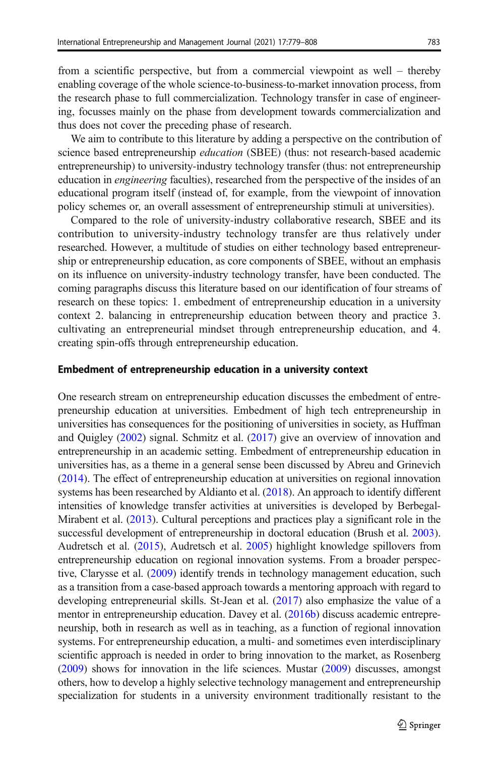from a scientific perspective, but from a commercial viewpoint as well – thereby enabling coverage of the whole science-to-business-to-market innovation process, from the research phase to full commercialization. Technology transfer in case of engineering, focusses mainly on the phase from development towards commercialization and thus does not cover the preceding phase of research.

We aim to contribute to this literature by adding a perspective on the contribution of science based entrepreneurship *education* (SBEE) (thus: not research-based academic entrepreneurship) to university-industry technology transfer (thus: not entrepreneurship education in engineering faculties), researched from the perspective of the insides of an educational program itself (instead of, for example, from the viewpoint of innovation policy schemes or, an overall assessment of entrepreneurship stimuli at universities).

Compared to the role of university-industry collaborative research, SBEE and its contribution to university-industry technology transfer are thus relatively under researched. However, a multitude of studies on either technology based entrepreneurship or entrepreneurship education, as core components of SBEE, without an emphasis on its influence on university-industry technology transfer, have been conducted. The coming paragraphs discuss this literature based on our identification of four streams of research on these topics: 1. embedment of entrepreneurship education in a university context 2. balancing in entrepreneurship education between theory and practice 3. cultivating an entrepreneurial mindset through entrepreneurship education, and 4. creating spin-offs through entrepreneurship education.

#### Embedment of entrepreneurship education in a university context

One research stream on entrepreneurship education discusses the embedment of entrepreneurship education at universities. Embedment of high tech entrepreneurship in universities has consequences for the positioning of universities in society, as Huffman and Quigley ([2002](#page-27-0)) signal. Schmitz et al. [\(2017](#page-28-0)) give an overview of innovation and entrepreneurship in an academic setting. Embedment of entrepreneurship education in universities has, as a theme in a general sense been discussed by Abreu and Grinevich [\(2014\)](#page-25-0). The effect of entrepreneurship education at universities on regional innovation systems has been researched by Aldianto et al. [\(2018](#page-25-0)). An approach to identify different intensities of knowledge transfer activities at universities is developed by Berbegal-Mirabent et al. [\(2013\)](#page-26-0). Cultural perceptions and practices play a significant role in the successful development of entrepreneurship in doctoral education (Brush et al. [2003\)](#page-26-0). Audretsch et al. [\(2015\)](#page-26-0), Audretsch et al. [2005\)](#page-26-0) highlight knowledge spillovers from entrepreneurship education on regional innovation systems. From a broader perspective, Clarysse et al. ([2009](#page-26-0)) identify trends in technology management education, such as a transition from a case-based approach towards a mentoring approach with regard to developing entrepreneurial skills. St-Jean et al. [\(2017\)](#page-28-0) also emphasize the value of a mentor in entrepreneurship education. Davey et al. ([2016b](#page-27-0)) discuss academic entrepreneurship, both in research as well as in teaching, as a function of regional innovation systems. For entrepreneurship education, a multi- and sometimes even interdisciplinary scientific approach is needed in order to bring innovation to the market, as Rosenberg [\(2009\)](#page-28-0) shows for innovation in the life sciences. Mustar [\(2009\)](#page-28-0) discusses, amongst others, how to develop a highly selective technology management and entrepreneurship specialization for students in a university environment traditionally resistant to the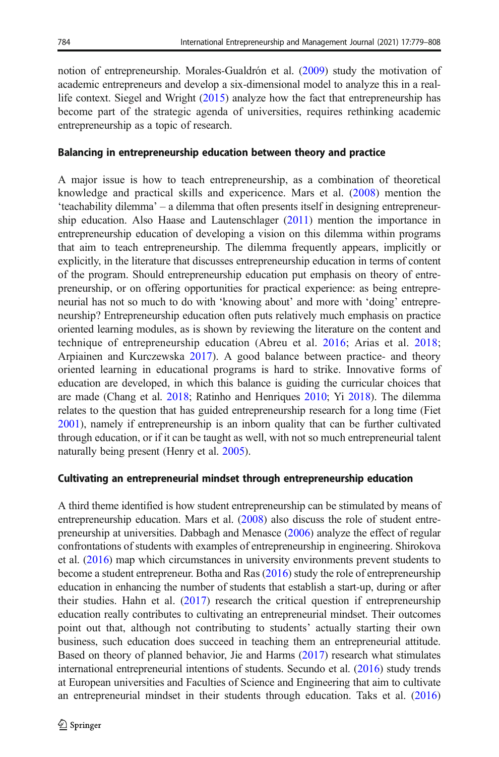notion of entrepreneurship. Morales-Gualdrón et al. [\(2009\)](#page-28-0) study the motivation of academic entrepreneurs and develop a six-dimensional model to analyze this in a reallife context. Siegel and Wright ([2015](#page-28-0)) analyze how the fact that entrepreneurship has become part of the strategic agenda of universities, requires rethinking academic entrepreneurship as a topic of research.

### Balancing in entrepreneurship education between theory and practice

A major issue is how to teach entrepreneurship, as a combination of theoretical knowledge and practical skills and expericence. Mars et al. ([2008](#page-27-0)) mention the 'teachability dilemma' – a dilemma that often presents itself in designing entrepreneurship education. Also Haase and Lautenschlager ([2011](#page-27-0)) mention the importance in entrepreneurship education of developing a vision on this dilemma within programs that aim to teach entrepreneurship. The dilemma frequently appears, implicitly or explicitly, in the literature that discusses entrepreneurship education in terms of content of the program. Should entrepreneurship education put emphasis on theory of entrepreneurship, or on offering opportunities for practical experience: as being entrepreneurial has not so much to do with 'knowing about' and more with 'doing' entrepreneurship? Entrepreneurship education often puts relatively much emphasis on practice oriented learning modules, as is shown by reviewing the literature on the content and technique of entrepreneurship education (Abreu et al. [2016;](#page-25-0) Arias et al. [2018;](#page-26-0) Arpiainen and Kurczewska [2017](#page-26-0)). A good balance between practice- and theory oriented learning in educational programs is hard to strike. Innovative forms of education are developed, in which this balance is guiding the curricular choices that are made (Chang et al. [2018](#page-26-0); Ratinho and Henriques [2010;](#page-28-0) Yi [2018](#page-29-0)). The dilemma relates to the question that has guided entrepreneurship research for a long time (Fiet [2001\)](#page-27-0), namely if entrepreneurship is an inborn quality that can be further cultivated through education, or if it can be taught as well, with not so much entrepreneurial talent naturally being present (Henry et al. [2005](#page-27-0)).

#### Cultivating an entrepreneurial mindset through entrepreneurship education

A third theme identified is how student entrepreneurship can be stimulated by means of entrepreneurship education. Mars et al. ([2008](#page-27-0)) also discuss the role of student entrepreneurship at universities. Dabbagh and Menasce ([2006](#page-27-0)) analyze the effect of regular confrontations of students with examples of entrepreneurship in engineering. Shirokova et al. [\(2016\)](#page-28-0) map which circumstances in university environments prevent students to become a student entrepreneur. Botha and Ras [\(2016\)](#page-26-0) study the role of entrepreneurship education in enhancing the number of students that establish a start-up, during or after their studies. Hahn et al. [\(2017\)](#page-27-0) research the critical question if entrepreneurship education really contributes to cultivating an entrepreneurial mindset. Their outcomes point out that, although not contributing to students' actually starting their own business, such education does succeed in teaching them an entrepreneurial attitude. Based on theory of planned behavior, Jie and Harms [\(2017\)](#page-27-0) research what stimulates international entrepreneurial intentions of students. Secundo et al. ([2016](#page-28-0)) study trends at European universities and Faculties of Science and Engineering that aim to cultivate an entrepreneurial mindset in their students through education. Taks et al. [\(2016](#page-28-0))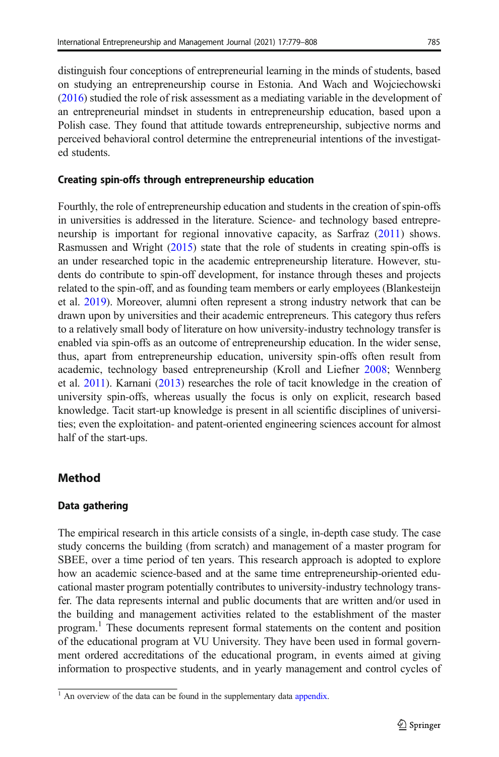distinguish four conceptions of entrepreneurial learning in the minds of students, based on studying an entrepreneurship course in Estonia. And Wach and Wojciechowski [\(2016\)](#page-29-0) studied the role of risk assessment as a mediating variable in the development of an entrepreneurial mindset in students in entrepreneurship education, based upon a Polish case. They found that attitude towards entrepreneurship, subjective norms and perceived behavioral control determine the entrepreneurial intentions of the investigated students.

### Creating spin-offs through entrepreneurship education

Fourthly, the role of entrepreneurship education and students in the creation of spin-offs in universities is addressed in the literature. Science- and technology based entrepreneurship is important for regional innovative capacity, as Sarfraz [\(2011\)](#page-28-0) shows. Rasmussen and Wright [\(2015\)](#page-28-0) state that the role of students in creating spin-offs is an under researched topic in the academic entrepreneurship literature. However, students do contribute to spin-off development, for instance through theses and projects related to the spin-off, and as founding team members or early employees (Blankesteijn et al. [2019\)](#page-26-0). Moreover, alumni often represent a strong industry network that can be drawn upon by universities and their academic entrepreneurs. This category thus refers to a relatively small body of literature on how university-industry technology transfer is enabled via spin-offs as an outcome of entrepreneurship education. In the wider sense, thus, apart from entrepreneurship education, university spin-offs often result from academic, technology based entrepreneurship (Kroll and Liefner [2008;](#page-27-0) Wennberg et al. [2011](#page-29-0)). Karnani ([2013](#page-27-0)) researches the role of tacit knowledge in the creation of university spin-offs, whereas usually the focus is only on explicit, research based knowledge. Tacit start-up knowledge is present in all scientific disciplines of universities; even the exploitation- and patent-oriented engineering sciences account for almost half of the start-ups.

# Method

### Data gathering

The empirical research in this article consists of a single, in-depth case study. The case study concerns the building (from scratch) and management of a master program for SBEE, over a time period of ten years. This research approach is adopted to explore how an academic science-based and at the same time entrepreneurship-oriented educational master program potentially contributes to university-industry technology transfer. The data represents internal and public documents that are written and/or used in the building and management activities related to the establishment of the master program.<sup>1</sup> These documents represent formal statements on the content and position of the educational program at VU University. They have been used in formal government ordered accreditations of the educational program, in events aimed at giving information to prospective students, and in yearly management and control cycles of

 $<sup>1</sup>$  An overview of the data can be found in the supplementary data appendix.</sup>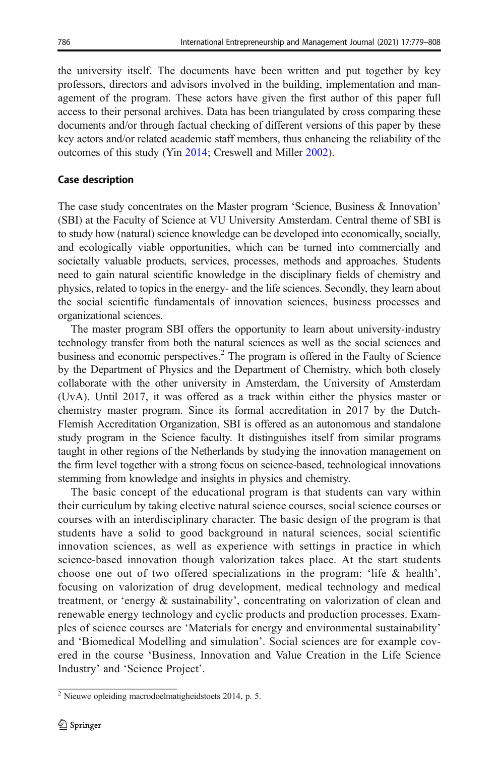the university itself. The documents have been written and put together by key professors, directors and advisors involved in the building, implementation and management of the program. These actors have given the first author of this paper full access to their personal archives. Data has been triangulated by cross comparing these documents and/or through factual checking of different versions of this paper by these key actors and/or related academic staff members, thus enhancing the reliability of the outcomes of this study (Yin [2014;](#page-29-0) Creswell and Miller [2002](#page-26-0)).

# Case description

The case study concentrates on the Master program 'Science, Business & Innovation' (SBI) at the Faculty of Science at VU University Amsterdam. Central theme of SBI is to study how (natural) science knowledge can be developed into economically, socially, and ecologically viable opportunities, which can be turned into commercially and societally valuable products, services, processes, methods and approaches. Students need to gain natural scientific knowledge in the disciplinary fields of chemistry and physics, related to topics in the energy- and the life sciences. Secondly, they learn about the social scientific fundamentals of innovation sciences, business processes and organizational sciences.

The master program SBI offers the opportunity to learn about university-industry technology transfer from both the natural sciences as well as the social sciences and business and economic perspectives.<sup>2</sup> The program is offered in the Faulty of Science by the Department of Physics and the Department of Chemistry, which both closely collaborate with the other university in Amsterdam, the University of Amsterdam (UvA). Until 2017, it was offered as a track within either the physics master or chemistry master program. Since its formal accreditation in 2017 by the Dutch-Flemish Accreditation Organization, SBI is offered as an autonomous and standalone study program in the Science faculty. It distinguishes itself from similar programs taught in other regions of the Netherlands by studying the innovation management on the firm level together with a strong focus on science-based, technological innovations stemming from knowledge and insights in physics and chemistry.

The basic concept of the educational program is that students can vary within their curriculum by taking elective natural science courses, social science courses or courses with an interdisciplinary character. The basic design of the program is that students have a solid to good background in natural sciences, social scientific innovation sciences, as well as experience with settings in practice in which science-based innovation though valorization takes place. At the start students choose one out of two offered specializations in the program: 'life & health', focusing on valorization of drug development, medical technology and medical treatment, or 'energy & sustainability', concentrating on valorization of clean and renewable energy technology and cyclic products and production processes. Examples of science courses are 'Materials for energy and environmental sustainability' and 'Biomedical Modelling and simulation'. Social sciences are for example covered in the course 'Business, Innovation and Value Creation in the Life Science Industry' and 'Science Project'.

<sup>2</sup> Nieuwe opleiding macrodoelmatigheidstoets 2014, p. 5.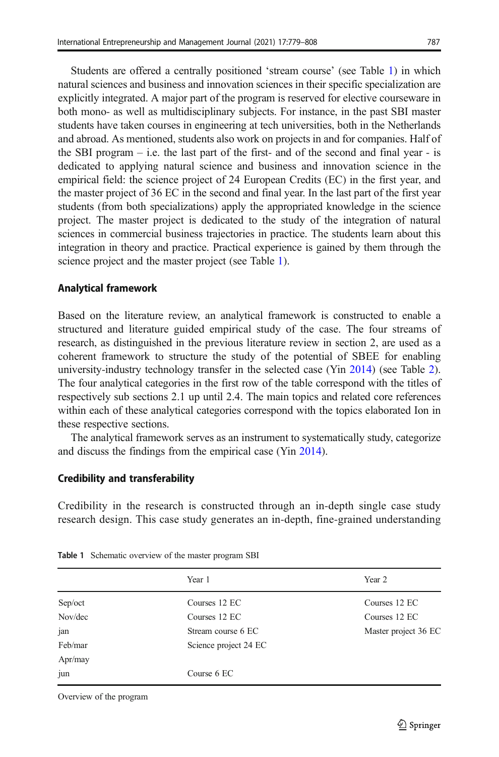Students are offered a centrally positioned 'stream course' (see Table 1) in which natural sciences and business and innovation sciences in their specific specialization are explicitly integrated. A major part of the program is reserved for elective courseware in both mono- as well as multidisciplinary subjects. For instance, in the past SBI master students have taken courses in engineering at tech universities, both in the Netherlands and abroad. As mentioned, students also work on projects in and for companies. Half of the SBI program  $-$  i.e. the last part of the first- and of the second and final year  $-$  is dedicated to applying natural science and business and innovation science in the empirical field: the science project of 24 European Credits (EC) in the first year, and the master project of 36 EC in the second and final year. In the last part of the first year students (from both specializations) apply the appropriated knowledge in the science project. The master project is dedicated to the study of the integration of natural sciences in commercial business trajectories in practice. The students learn about this integration in theory and practice. Practical experience is gained by them through the science project and the master project (see Table 1).

### Analytical framework

Based on the literature review, an analytical framework is constructed to enable a structured and literature guided empirical study of the case. The four streams of research, as distinguished in the previous literature review in section 2, are used as a coherent framework to structure the study of the potential of SBEE for enabling university-industry technology transfer in the selected case (Yin [2014\)](#page-29-0) (see Table [2\)](#page-9-0). The four analytical categories in the first row of the table correspond with the titles of respectively sub sections 2.1 up until 2.4. The main topics and related core references within each of these analytical categories correspond with the topics elaborated Ion in these respective sections.

The analytical framework serves as an instrument to systematically study, categorize and discuss the findings from the empirical case (Yin [2014](#page-29-0)).

### Credibility and transferability

Credibility in the research is constructed through an in-depth single case study research design. This case study generates an in-depth, fine-grained understanding

|         | Year 1                | Year 2               |
|---------|-----------------------|----------------------|
| Sep/oct | Courses 12 EC         | Courses 12 EC        |
| Nov/dec | Courses 12 EC         | Courses 12 EC        |
| jan     | Stream course 6 EC    | Master project 36 EC |
| Feb/mar | Science project 24 EC |                      |
| Apr/may |                       |                      |
| jun     | Course 6 EC           |                      |

Table 1 Schematic overview of the master program SBI

Overview of the program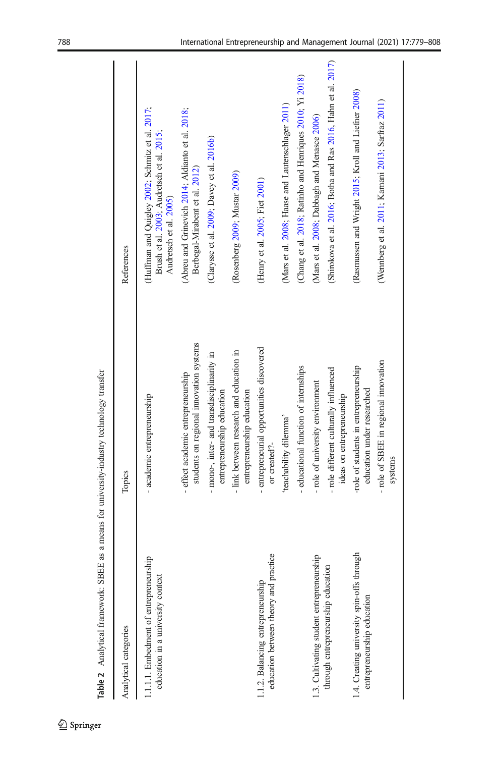<span id="page-9-0"></span>

| Analytical categories                                                      | Topics                                                                        | References                                                                                                             |
|----------------------------------------------------------------------------|-------------------------------------------------------------------------------|------------------------------------------------------------------------------------------------------------------------|
| .1.1.1. Embedment of entrepreneurship<br>education in a university context | - academic entrepreneurship                                                   | (Huffman and Quigley 2002; Schmitz et al. 2017;<br>Brush et al. 2003; Audretsch et al. 2015;<br>Audretsch et al. 2005) |
|                                                                            | students on regional innovation systems<br>- effect academic entrepreneurship | (Abreu and Grinevich 2014; Aldianto et al. 2018;<br>Berbegal-Mirabent et al. 2012)                                     |
|                                                                            | - mono-, inter- and transdisciplinarity in<br>entrepreneurship education      | (Clarysse et al. 2009; Davey et al. 2016b)                                                                             |
|                                                                            | - link between research and education in<br>entrepreneurship education        | (Rosenberg 2009; Mustar 2009)                                                                                          |
| education between theory and practice<br>1.1.2. Balancing entrepreneurship | - entrepreneurial opportunities discovered<br>or created?-                    | (Henry et al. 2005; Fiet 2001)                                                                                         |
|                                                                            | 'teachability dilemma'                                                        | (Mars et al. 2008; Haase and Lautenschlager 2011)                                                                      |
|                                                                            | - educational function of internships                                         | (Chang et al. 2018; Ratinho and Henriques 2010; Yi 2018)                                                               |
| 1.3. Cultivating student entrepreneurship                                  | - role of university environment                                              | (Mars et al. 2008; Dabbagh and Menasce 2006)                                                                           |
| through entrepreneurship education                                         | - role different culturally influenced<br>ideas on entrepreneurship           | (Shirokova et al. 2016; Botha and Ras 2016, Hahn et al. 2017)                                                          |
| 1.4. Creating university spin-offs through<br>entrepreneurship education   | -role of students in entrepreneurship<br>education under researched           | (Rasmussen and Wright 2015; Kroll and Liefner 2008)                                                                    |
|                                                                            | role of SBEE in regional innovation<br>systems                                | (Wennberg et al. 2011; Karnani 2013; Sarfraz 2011)                                                                     |
|                                                                            |                                                                               |                                                                                                                        |

Table 2 Analytical framework: SBEE as a means for university-industry technology transfer Table 2 Analytical framework: SBEE as a means for university-industry technology transfer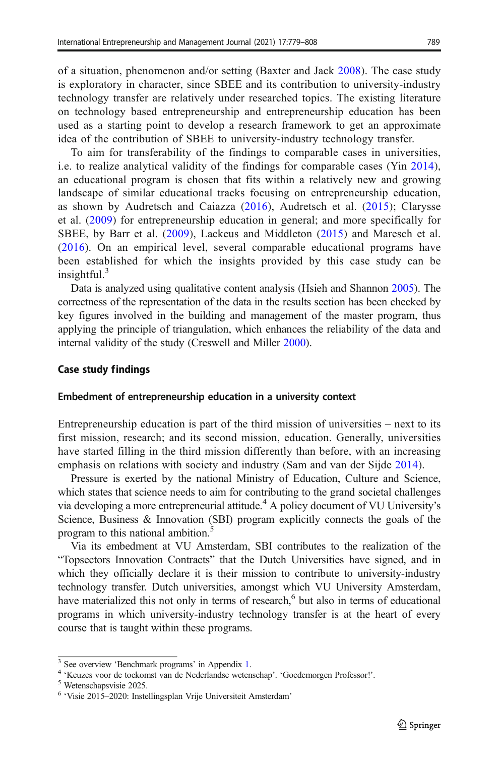of a situation, phenomenon and/or setting (Baxter and Jack [2008](#page-26-0)). The case study is exploratory in character, since SBEE and its contribution to university-industry technology transfer are relatively under researched topics. The existing literature on technology based entrepreneurship and entrepreneurship education has been used as a starting point to develop a research framework to get an approximate idea of the contribution of SBEE to university-industry technology transfer.

To aim for transferability of the findings to comparable cases in universities, i.e. to realize analytical validity of the findings for comparable cases (Yin [2014\)](#page-29-0), an educational program is chosen that fits within a relatively new and growing landscape of similar educational tracks focusing on entrepreneurship education, as shown by Audretsch and Caiazza ([2016\)](#page-26-0), Audretsch et al. [\(2015\)](#page-26-0); Clarysse et al. ([2009](#page-26-0)) for entrepreneurship education in general; and more specifically for SBEE, by Barr et al. ([2009\)](#page-26-0), Lackeus and Middleton [\(2015\)](#page-27-0) and Maresch et al. [\(2016\)](#page-27-0). On an empirical level, several comparable educational programs have been established for which the insights provided by this case study can be insightful. $3$ 

Data is analyzed using qualitative content analysis (Hsieh and Shannon [2005\)](#page-27-0). The correctness of the representation of the data in the results section has been checked by key figures involved in the building and management of the master program, thus applying the principle of triangulation, which enhances the reliability of the data and internal validity of the study (Creswell and Miller [2000](#page-26-0)).

#### Case study findings

#### Embedment of entrepreneurship education in a university context

Entrepreneurship education is part of the third mission of universities – next to its first mission, research; and its second mission, education. Generally, universities have started filling in the third mission differently than before, with an increasing emphasis on relations with society and industry (Sam and van der Sijde [2014\)](#page-28-0).

Pressure is exerted by the national Ministry of Education, Culture and Science, which states that science needs to aim for contributing to the grand societal challenges via developing a more entrepreneurial attitude.<sup>4</sup> A policy document of VU University's Science, Business & Innovation (SBI) program explicitly connects the goals of the program to this national ambition.<sup>5</sup>

Via its embedment at VU Amsterdam, SBI contributes to the realization of the "Topsectors Innovation Contracts" that the Dutch Universities have signed, and in which they officially declare it is their mission to contribute to university-industry technology transfer. Dutch universities, amongst which VU University Amsterdam, have materialized this not only in terms of research, $6$  but also in terms of educational programs in which university-industry technology transfer is at the heart of every course that is taught within these programs.

<sup>&</sup>lt;sup>3</sup> See overview 'Benchmark programs' in Appendix 1.<br><sup>4</sup> 'Keuzes voor de toekomst van de Nederlandse wetenschap'. 'Goedemorgen Professor!'.<br><sup>5</sup> Wetenschapsvisie 2025.

<sup>6</sup> 'Visie 2015–2020: Instellingsplan Vrije Universiteit Amsterdam'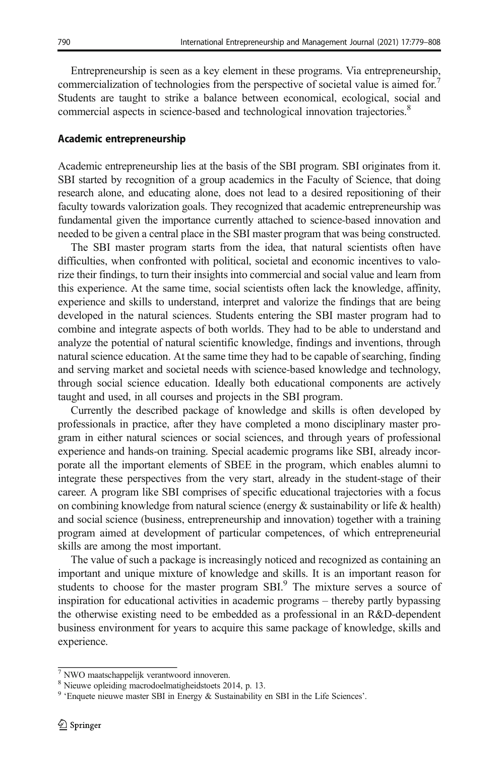Entrepreneurship is seen as a key element in these programs. Via entrepreneurship, commercialization of technologies from the perspective of societal value is aimed for.<sup>7</sup> Students are taught to strike a balance between economical, ecological, social and commercial aspects in science-based and technological innovation trajectories.<sup>8</sup>

#### Academic entrepreneurship

Academic entrepreneurship lies at the basis of the SBI program. SBI originates from it. SBI started by recognition of a group academics in the Faculty of Science, that doing research alone, and educating alone, does not lead to a desired repositioning of their faculty towards valorization goals. They recognized that academic entrepreneurship was fundamental given the importance currently attached to science-based innovation and needed to be given a central place in the SBI master program that was being constructed.

The SBI master program starts from the idea, that natural scientists often have difficulties, when confronted with political, societal and economic incentives to valorize their findings, to turn their insights into commercial and social value and learn from this experience. At the same time, social scientists often lack the knowledge, affinity, experience and skills to understand, interpret and valorize the findings that are being developed in the natural sciences. Students entering the SBI master program had to combine and integrate aspects of both worlds. They had to be able to understand and analyze the potential of natural scientific knowledge, findings and inventions, through natural science education. At the same time they had to be capable of searching, finding and serving market and societal needs with science-based knowledge and technology, through social science education. Ideally both educational components are actively taught and used, in all courses and projects in the SBI program.

Currently the described package of knowledge and skills is often developed by professionals in practice, after they have completed a mono disciplinary master program in either natural sciences or social sciences, and through years of professional experience and hands-on training. Special academic programs like SBI, already incorporate all the important elements of SBEE in the program, which enables alumni to integrate these perspectives from the very start, already in the student-stage of their career. A program like SBI comprises of specific educational trajectories with a focus on combining knowledge from natural science (energy & sustainability or life & health) and social science (business, entrepreneurship and innovation) together with a training program aimed at development of particular competences, of which entrepreneurial skills are among the most important.

The value of such a package is increasingly noticed and recognized as containing an important and unique mixture of knowledge and skills. It is an important reason for students to choose for the master program  $SBI<sup>9</sup>$ . The mixture serves a source of inspiration for educational activities in academic programs – thereby partly bypassing the otherwise existing need to be embedded as a professional in an R&D-dependent business environment for years to acquire this same package of knowledge, skills and experience.

 $\sqrt{7}$  NWO maatschappelijk verantwoord innoveren.

<sup>&</sup>lt;sup>8</sup> Nieuwe opleiding macrodoelmatigheidstoets 2014, p. 13.

<sup>&</sup>lt;sup>9</sup> 'Enquete nieuwe master SBI in Energy & Sustainability en SBI in the Life Sciences'.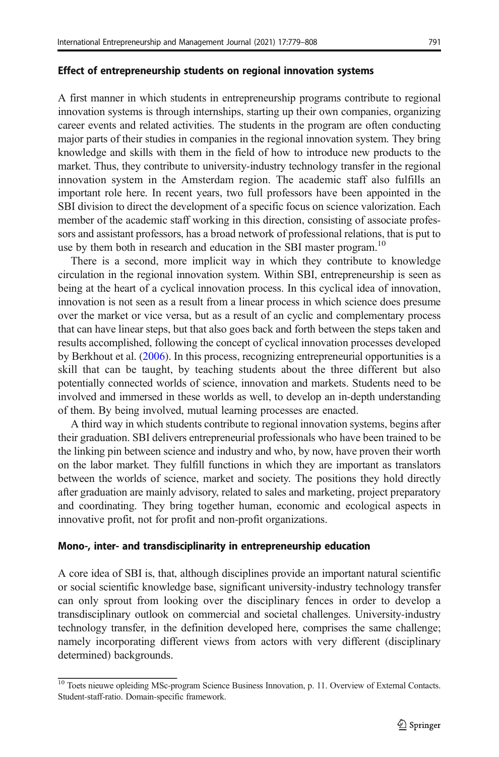#### Effect of entrepreneurship students on regional innovation systems

A first manner in which students in entrepreneurship programs contribute to regional innovation systems is through internships, starting up their own companies, organizing career events and related activities. The students in the program are often conducting major parts of their studies in companies in the regional innovation system. They bring knowledge and skills with them in the field of how to introduce new products to the market. Thus, they contribute to university-industry technology transfer in the regional innovation system in the Amsterdam region. The academic staff also fulfills an important role here. In recent years, two full professors have been appointed in the SBI division to direct the development of a specific focus on science valorization. Each member of the academic staff working in this direction, consisting of associate professors and assistant professors, has a broad network of professional relations, that is put to use by them both in research and education in the SBI master program.<sup>10</sup>

There is a second, more implicit way in which they contribute to knowledge circulation in the regional innovation system. Within SBI, entrepreneurship is seen as being at the heart of a cyclical innovation process. In this cyclical idea of innovation, innovation is not seen as a result from a linear process in which science does presume over the market or vice versa, but as a result of an cyclic and complementary process that can have linear steps, but that also goes back and forth between the steps taken and results accomplished, following the concept of cyclical innovation processes developed by Berkhout et al. ([2006](#page-26-0)). In this process, recognizing entrepreneurial opportunities is a skill that can be taught, by teaching students about the three different but also potentially connected worlds of science, innovation and markets. Students need to be involved and immersed in these worlds as well, to develop an in-depth understanding of them. By being involved, mutual learning processes are enacted.

A third way in which students contribute to regional innovation systems, begins after their graduation. SBI delivers entrepreneurial professionals who have been trained to be the linking pin between science and industry and who, by now, have proven their worth on the labor market. They fulfill functions in which they are important as translators between the worlds of science, market and society. The positions they hold directly after graduation are mainly advisory, related to sales and marketing, project preparatory and coordinating. They bring together human, economic and ecological aspects in innovative profit, not for profit and non-profit organizations.

#### Mono-, inter- and transdisciplinarity in entrepreneurship education

A core idea of SBI is, that, although disciplines provide an important natural scientific or social scientific knowledge base, significant university-industry technology transfer can only sprout from looking over the disciplinary fences in order to develop a transdisciplinary outlook on commercial and societal challenges. University-industry technology transfer, in the definition developed here, comprises the same challenge; namely incorporating different views from actors with very different (disciplinary determined) backgrounds.

<sup>&</sup>lt;sup>10</sup> Toets nieuwe opleiding MSc-program Science Business Innovation, p. 11. Overview of External Contacts. Student-staff-ratio. Domain-specific framework.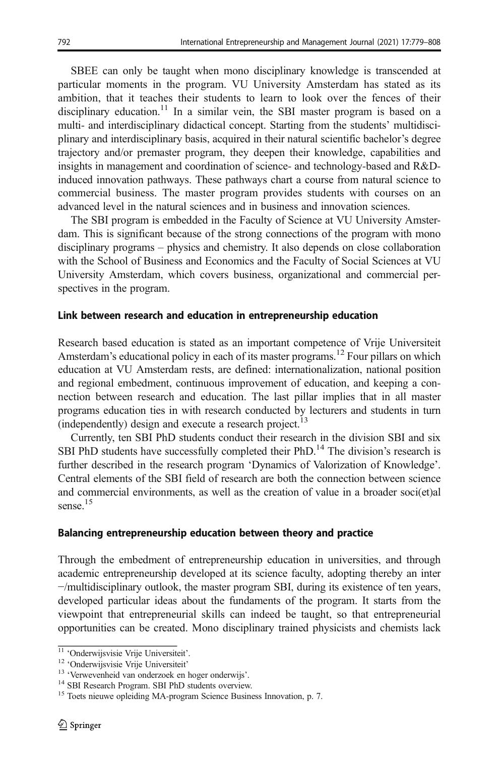SBEE can only be taught when mono disciplinary knowledge is transcended at particular moments in the program. VU University Amsterdam has stated as its ambition, that it teaches their students to learn to look over the fences of their disciplinary education.<sup>11</sup> In a similar vein, the SBI master program is based on a multi- and interdisciplinary didactical concept. Starting from the students' multidisciplinary and interdisciplinary basis, acquired in their natural scientific bachelor's degree trajectory and/or premaster program, they deepen their knowledge, capabilities and insights in management and coordination of science- and technology-based and R&Dinduced innovation pathways. These pathways chart a course from natural science to commercial business. The master program provides students with courses on an advanced level in the natural sciences and in business and innovation sciences.

The SBI program is embedded in the Faculty of Science at VU University Amsterdam. This is significant because of the strong connections of the program with mono disciplinary programs – physics and chemistry. It also depends on close collaboration with the School of Business and Economics and the Faculty of Social Sciences at VU University Amsterdam, which covers business, organizational and commercial perspectives in the program.

### Link between research and education in entrepreneurship education

Research based education is stated as an important competence of Vrije Universiteit Amsterdam's educational policy in each of its master programs.<sup>12</sup> Four pillars on which education at VU Amsterdam rests, are defined: internationalization, national position and regional embedment, continuous improvement of education, and keeping a connection between research and education. The last pillar implies that in all master programs education ties in with research conducted by lecturers and students in turn (independently) design and execute a research project.<sup>13</sup>

Currently, ten SBI PhD students conduct their research in the division SBI and six SBI PhD students have successfully completed their PhD.<sup>14</sup> The division's research is further described in the research program 'Dynamics of Valorization of Knowledge'. Central elements of the SBI field of research are both the connection between science and commercial environments, as well as the creation of value in a broader soci(et)al sense.<sup>15</sup>

### Balancing entrepreneurship education between theory and practice

Through the embedment of entrepreneurship education in universities, and through academic entrepreneurship developed at its science faculty, adopting thereby an inter −/multidisciplinary outlook, the master program SBI, during its existence of ten years, developed particular ideas about the fundaments of the program. It starts from the viewpoint that entrepreneurial skills can indeed be taught, so that entrepreneurial opportunities can be created. Mono disciplinary trained physicists and chemists lack

<sup>&</sup>lt;sup>11</sup> 'Onderwijsvisie Vrije Universiteit'.<br><sup>12</sup> 'Onderwijsvisie Vrije Universiteit'<br><sup>13</sup> 'Verwevenheid van onderzoek en hoger onderwijs'.<br><sup>14</sup> SBI Research Program. SBI PhD students overview.<br><sup>15</sup> Toets nieuwe opleiding MA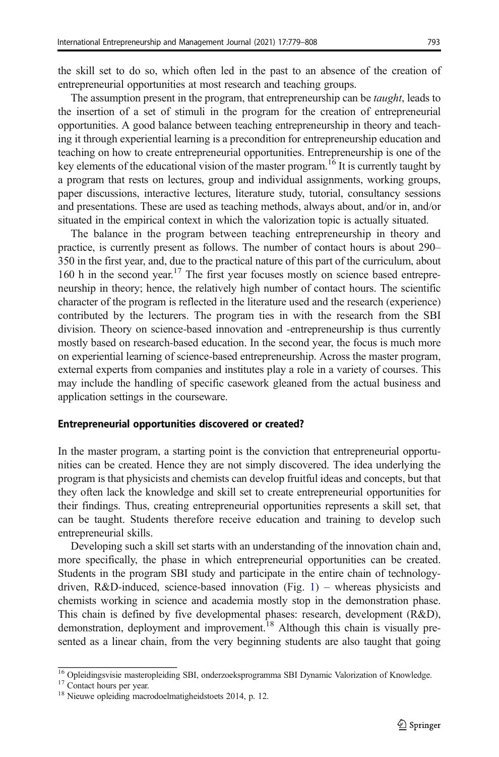the skill set to do so, which often led in the past to an absence of the creation of entrepreneurial opportunities at most research and teaching groups.

The assumption present in the program, that entrepreneurship can be *taught*, leads to the insertion of a set of stimuli in the program for the creation of entrepreneurial opportunities. A good balance between teaching entrepreneurship in theory and teaching it through experiential learning is a precondition for entrepreneurship education and teaching on how to create entrepreneurial opportunities. Entrepreneurship is one of the key elements of the educational vision of the master program.<sup>16</sup> It is currently taught by a program that rests on lectures, group and individual assignments, working groups, paper discussions, interactive lectures, literature study, tutorial, consultancy sessions and presentations. These are used as teaching methods, always about, and/or in, and/or situated in the empirical context in which the valorization topic is actually situated.

The balance in the program between teaching entrepreneurship in theory and practice, is currently present as follows. The number of contact hours is about 290– 350 in the first year, and, due to the practical nature of this part of the curriculum, about 160 h in the second year.<sup>17</sup> The first year focuses mostly on science based entrepreneurship in theory; hence, the relatively high number of contact hours. The scientific character of the program is reflected in the literature used and the research (experience) contributed by the lecturers. The program ties in with the research from the SBI division. Theory on science-based innovation and -entrepreneurship is thus currently mostly based on research-based education. In the second year, the focus is much more on experiential learning of science-based entrepreneurship. Across the master program, external experts from companies and institutes play a role in a variety of courses. This may include the handling of specific casework gleaned from the actual business and application settings in the courseware.

#### Entrepreneurial opportunities discovered or created?

In the master program, a starting point is the conviction that entrepreneurial opportunities can be created. Hence they are not simply discovered. The idea underlying the program is that physicists and chemists can develop fruitful ideas and concepts, but that they often lack the knowledge and skill set to create entrepreneurial opportunities for their findings. Thus, creating entrepreneurial opportunities represents a skill set, that can be taught. Students therefore receive education and training to develop such entrepreneurial skills.

Developing such a skill set starts with an understanding of the innovation chain and, more specifically, the phase in which entrepreneurial opportunities can be created. Students in the program SBI study and participate in the entire chain of technologydriven, R&D-induced, science-based innovation (Fig. [1\)](#page-15-0) – whereas physicists and chemists working in science and academia mostly stop in the demonstration phase. This chain is defined by five developmental phases: research, development (R&D), demonstration, deployment and improvement.<sup>18</sup> Although this chain is visually presented as a linear chain, from the very beginning students are also taught that going

 $\frac{16}{16}$  Opleidingsvisie masteropleiding SBI, onderzoeksprogramma SBI Dynamic Valorization of Knowledge.<br><sup>17</sup> Contact hours per year.<br><sup>18</sup> Nieuwe opleiding macrodoelmatigheidstoets 2014, p. 12.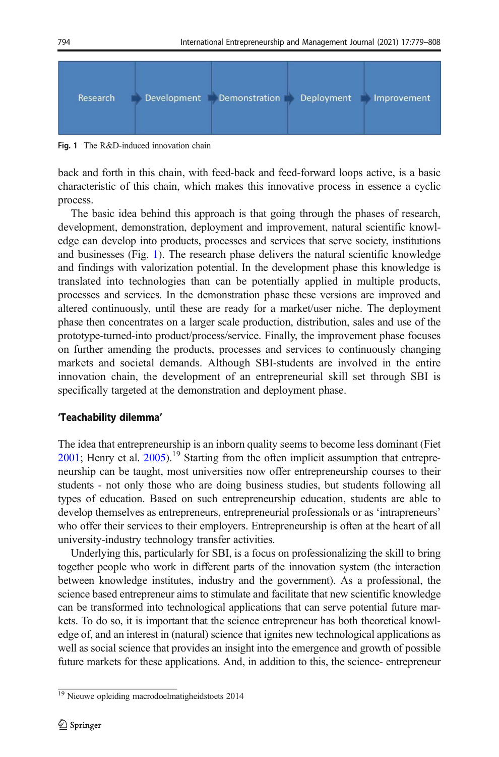<span id="page-15-0"></span>

Fig. 1 The R&D-induced innovation chain

back and forth in this chain, with feed-back and feed-forward loops active, is a basic characteristic of this chain, which makes this innovative process in essence a cyclic process.

The basic idea behind this approach is that going through the phases of research, development, demonstration, deployment and improvement, natural scientific knowledge can develop into products, processes and services that serve society, institutions and businesses (Fig. 1). The research phase delivers the natural scientific knowledge and findings with valorization potential. In the development phase this knowledge is translated into technologies than can be potentially applied in multiple products, processes and services. In the demonstration phase these versions are improved and altered continuously, until these are ready for a market/user niche. The deployment phase then concentrates on a larger scale production, distribution, sales and use of the prototype-turned-into product/process/service. Finally, the improvement phase focuses on further amending the products, processes and services to continuously changing markets and societal demands. Although SBI-students are involved in the entire innovation chain, the development of an entrepreneurial skill set through SBI is specifically targeted at the demonstration and deployment phase.

### 'Teachability dilemma'

The idea that entrepreneurship is an inborn quality seems to become less dominant (Fiet  $2001$ ; Henry et al.  $2005$ ).<sup>19</sup> Starting from the often implicit assumption that entrepreneurship can be taught, most universities now offer entrepreneurship courses to their students - not only those who are doing business studies, but students following all types of education. Based on such entrepreneurship education, students are able to develop themselves as entrepreneurs, entrepreneurial professionals or as 'intrapreneurs' who offer their services to their employers. Entrepreneurship is often at the heart of all university-industry technology transfer activities.

Underlying this, particularly for SBI, is a focus on professionalizing the skill to bring together people who work in different parts of the innovation system (the interaction between knowledge institutes, industry and the government). As a professional, the science based entrepreneur aims to stimulate and facilitate that new scientific knowledge can be transformed into technological applications that can serve potential future markets. To do so, it is important that the science entrepreneur has both theoretical knowledge of, and an interest in (natural) science that ignites new technological applications as well as social science that provides an insight into the emergence and growth of possible future markets for these applications. And, in addition to this, the science- entrepreneur

<sup>&</sup>lt;sup>19</sup> Nieuwe opleiding macrodoelmatigheidstoets 2014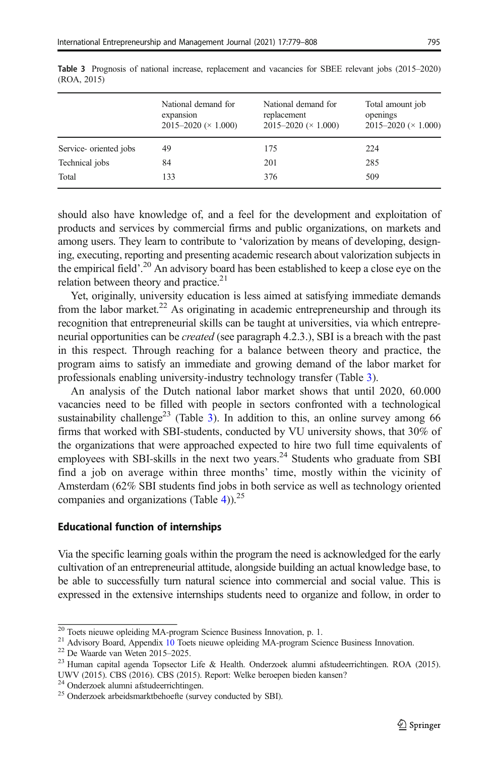|                       | National demand for<br>expansion<br>$2015 - 2020 \times 1.000$ | National demand for<br>replacement<br>$2015 - 2020 \times 1.000$ | Total amount job<br>openings<br>$2015 - 2020 \times 1.000$ |
|-----------------------|----------------------------------------------------------------|------------------------------------------------------------------|------------------------------------------------------------|
| Service-oriented jobs | 49                                                             | 175                                                              | 224                                                        |
| Technical jobs        | 84                                                             | 201                                                              | 285                                                        |
| Total                 | 133                                                            | 376                                                              | 509                                                        |

Table 3 Prognosis of national increase, replacement and vacancies for SBEE relevant jobs (2015–2020) (ROA, 2015)

should also have knowledge of, and a feel for the development and exploitation of products and services by commercial firms and public organizations, on markets and among users. They learn to contribute to 'valorization by means of developing, designing, executing, reporting and presenting academic research about valorization subjects in the empirical field'. <sup>20</sup> An advisory board has been established to keep a close eye on the relation between theory and practice.<sup>21</sup>

Yet, originally, university education is less aimed at satisfying immediate demands from the labor market.<sup>22</sup> As originating in academic entrepreneurship and through its recognition that entrepreneurial skills can be taught at universities, via which entrepreneurial opportunities can be *created* (see paragraph 4.2.3.), SBI is a breach with the past in this respect. Through reaching for a balance between theory and practice, the program aims to satisfy an immediate and growing demand of the labor market for professionals enabling university-industry technology transfer (Table 3).

An analysis of the Dutch national labor market shows that until 2020, 60.000 vacancies need to be filled with people in sectors confronted with a technological sustainability challenge<sup>23</sup> (Table 3). In addition to this, an online survey among 66 firms that worked with SBI-students, conducted by VU university shows, that 30% of the organizations that were approached expected to hire two full time equivalents of employees with SBI-skills in the next two years. $^{24}$  Students who graduate from SBI find a job on average within three months' time, mostly within the vicinity of Amsterdam (62% SBI students find jobs in both service as well as technology oriented companies and organizations (Table [4\)](#page-17-0)).<sup>25</sup>

#### Educational function of internships

Via the specific learning goals within the program the need is acknowledged for the early cultivation of an entrepreneurial attitude, alongside building an actual knowledge base, to be able to successfully turn natural science into commercial and social value. This is expressed in the extensive internships students need to organize and follow, in order to

<sup>&</sup>lt;sup>20</sup> Toets nieuwe opleiding MA-program Science Business Innovation, p. 1.<br><sup>21</sup> Advisory Board, Appendix 10 Toets nieuwe opleiding MA-program Science Business Innovation.<br><sup>22</sup> De Waarde van Weten 2015–2025.

<sup>&</sup>lt;sup>23</sup> Human capital agenda Topsector Life & Health. Onderzoek alumni afstudeerrichtingen. ROA (2015). UWV (2015). CBS (2016). CBS (2015). Report: Welke beroepen bieden kansen?<sup>24</sup> Onderzoek alumni afstudeerrichtingen.

<sup>&</sup>lt;sup>25</sup> Onderzoek arbeidsmarktbehoefte (survey conducted by SBI).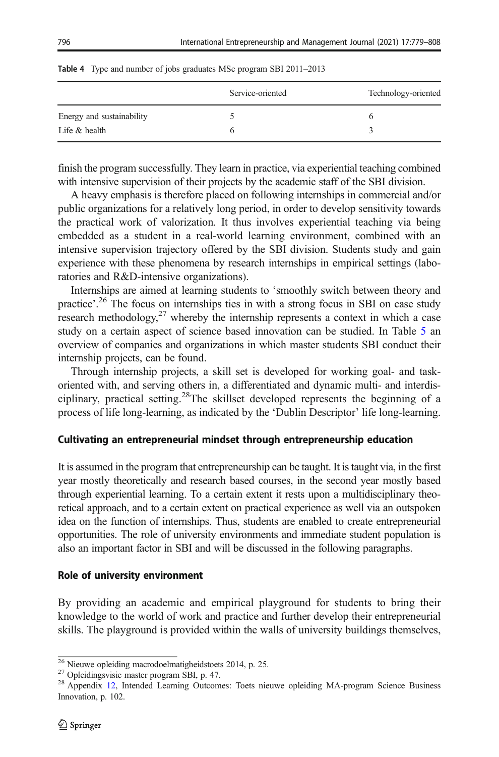|                           | Service-oriented | Technology-oriented |
|---------------------------|------------------|---------------------|
| Energy and sustainability |                  |                     |
| Life $&$ health           |                  |                     |

<span id="page-17-0"></span>

|  | <b>Table 4</b> Type and number of jobs graduates MSc program SBI 2011-2013 |  |  |  |  |  |  |  |  |  |
|--|----------------------------------------------------------------------------|--|--|--|--|--|--|--|--|--|
|--|----------------------------------------------------------------------------|--|--|--|--|--|--|--|--|--|

finish the program successfully. They learn in practice, via experiential teaching combined with intensive supervision of their projects by the academic staff of the SBI division.

A heavy emphasis is therefore placed on following internships in commercial and/or public organizations for a relatively long period, in order to develop sensitivity towards the practical work of valorization. It thus involves experiential teaching via being embedded as a student in a real-world learning environment, combined with an intensive supervision trajectory offered by the SBI division. Students study and gain experience with these phenomena by research internships in empirical settings (laboratories and R&D-intensive organizations).

Internships are aimed at learning students to 'smoothly switch between theory and practice'.<sup>26</sup> The focus on internships ties in with a strong focus in SBI on case study research methodology, $27$  whereby the internship represents a context in which a case study on a certain aspect of science based innovation can be studied. In Table [5](#page-18-0) an overview of companies and organizations in which master students SBI conduct their internship projects, can be found.

Through internship projects, a skill set is developed for working goal- and taskoriented with, and serving others in, a differentiated and dynamic multi- and interdisciplinary, practical setting.28The skillset developed represents the beginning of a process of life long-learning, as indicated by the 'Dublin Descriptor' life long-learning.

### Cultivating an entrepreneurial mindset through entrepreneurship education

It is assumed in the program that entrepreneurship can be taught. It is taught via, in the first year mostly theoretically and research based courses, in the second year mostly based through experiential learning. To a certain extent it rests upon a multidisciplinary theoretical approach, and to a certain extent on practical experience as well via an outspoken idea on the function of internships. Thus, students are enabled to create entrepreneurial opportunities. The role of university environments and immediate student population is also an important factor in SBI and will be discussed in the following paragraphs.

### Role of university environment

By providing an academic and empirical playground for students to bring their knowledge to the world of work and practice and further develop their entrepreneurial skills. The playground is provided within the walls of university buildings themselves,

<sup>&</sup>lt;sup>26</sup> Nieuwe opleiding macrodoelmatigheidstoets 2014, p. 25.<br><sup>27</sup> Opleidingsvisie master program SBI, p. 47.<br><sup>28</sup> Appendix 12, Intended Learning Outcomes: Toets nieuwe opleiding MA-program Science Business Innovation, p. 102.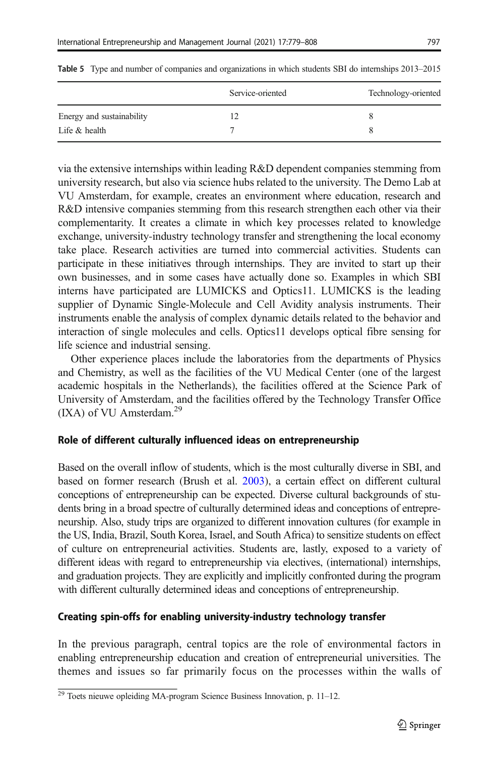|                           | Service-oriented | Technology-oriented |
|---------------------------|------------------|---------------------|
| Energy and sustainability |                  |                     |
| Life $&$ health           |                  |                     |

<span id="page-18-0"></span>Table 5 Type and number of companies and organizations in which students SBI do internships 2013–2015

via the extensive internships within leading R&D dependent companies stemming from university research, but also via science hubs related to the university. The Demo Lab at VU Amsterdam, for example, creates an environment where education, research and R&D intensive companies stemming from this research strengthen each other via their complementarity. It creates a climate in which key processes related to knowledge exchange, university-industry technology transfer and strengthening the local economy take place. Research activities are turned into commercial activities. Students can participate in these initiatives through internships. They are invited to start up their own businesses, and in some cases have actually done so. Examples in which SBI interns have participated are LUMICKS and Optics11. LUMICKS is the leading supplier of Dynamic Single-Molecule and Cell Avidity analysis instruments. Their instruments enable the analysis of complex dynamic details related to the behavior and interaction of single molecules and cells. Optics11 develops optical fibre sensing for life science and industrial sensing.

Other experience places include the laboratories from the departments of Physics and Chemistry, as well as the facilities of the VU Medical Center (one of the largest academic hospitals in the Netherlands), the facilities offered at the Science Park of University of Amsterdam, and the facilities offered by the Technology Transfer Office (IXA) of VU Amsterdam.<sup>29</sup>

### Role of different culturally influenced ideas on entrepreneurship

Based on the overall inflow of students, which is the most culturally diverse in SBI, and based on former research (Brush et al. [2003](#page-26-0)), a certain effect on different cultural conceptions of entrepreneurship can be expected. Diverse cultural backgrounds of students bring in a broad spectre of culturally determined ideas and conceptions of entrepreneurship. Also, study trips are organized to different innovation cultures (for example in the US, India, Brazil, South Korea, Israel, and South Africa) to sensitize students on effect of culture on entrepreneurial activities. Students are, lastly, exposed to a variety of different ideas with regard to entrepreneurship via electives, (international) internships, and graduation projects. They are explicitly and implicitly confronted during the program with different culturally determined ideas and conceptions of entrepreneurship.

### Creating spin-offs for enabling university-industry technology transfer

In the previous paragraph, central topics are the role of environmental factors in enabling entrepreneurship education and creation of entrepreneurial universities. The themes and issues so far primarily focus on the processes within the walls of

<sup>&</sup>lt;sup>29</sup> Toets nieuwe opleiding MA-program Science Business Innovation, p. 11–12.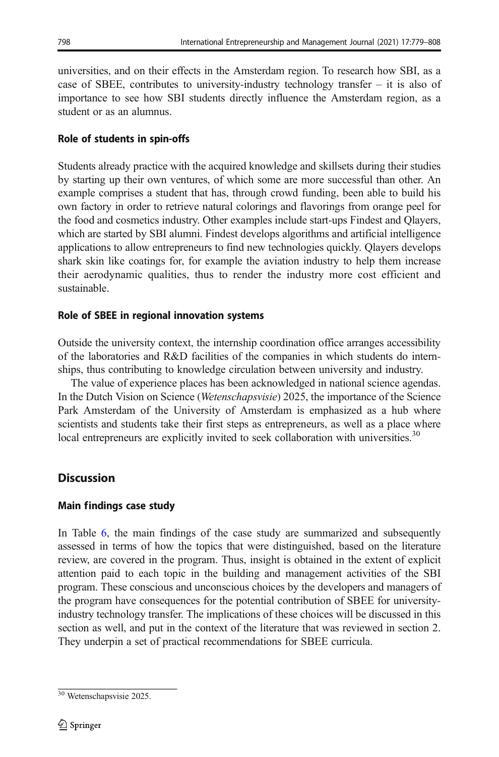universities, and on their effects in the Amsterdam region. To research how SBI, as a case of SBEE, contributes to university-industry technology transfer – it is also of importance to see how SBI students directly influence the Amsterdam region, as a student or as an alumnus.

# Role of students in spin-offs

Students already practice with the acquired knowledge and skillsets during their studies by starting up their own ventures, of which some are more successful than other. An example comprises a student that has, through crowd funding, been able to build his own factory in order to retrieve natural colorings and flavorings from orange peel for the food and cosmetics industry. Other examples include start-ups Findest and Qlayers, which are started by SBI alumni. Findest develops algorithms and artificial intelligence applications to allow entrepreneurs to find new technologies quickly. Qlayers develops shark skin like coatings for, for example the aviation industry to help them increase their aerodynamic qualities, thus to render the industry more cost efficient and sustainable.

# Role of SBEE in regional innovation systems

Outside the university context, the internship coordination office arranges accessibility of the laboratories and R&D facilities of the companies in which students do internships, thus contributing to knowledge circulation between university and industry.

The value of experience places has been acknowledged in national science agendas. In the Dutch Vision on Science (Wetenschapsvisie) 2025, the importance of the Science Park Amsterdam of the University of Amsterdam is emphasized as a hub where scientists and students take their first steps as entrepreneurs, as well as a place where local entrepreneurs are explicitly invited to seek collaboration with universities.<sup>30</sup>

# **Discussion**

# Main findings case study

In Table [6,](#page-20-0) the main findings of the case study are summarized and subsequently assessed in terms of how the topics that were distinguished, based on the literature review, are covered in the program. Thus, insight is obtained in the extent of explicit attention paid to each topic in the building and management activities of the SBI program. These conscious and unconscious choices by the developers and managers of the program have consequences for the potential contribution of SBEE for universityindustry technology transfer. The implications of these choices will be discussed in this section as well, and put in the context of the literature that was reviewed in section 2. They underpin a set of practical recommendations for SBEE curricula.

 $30$  Wetenschapsvisie 2025.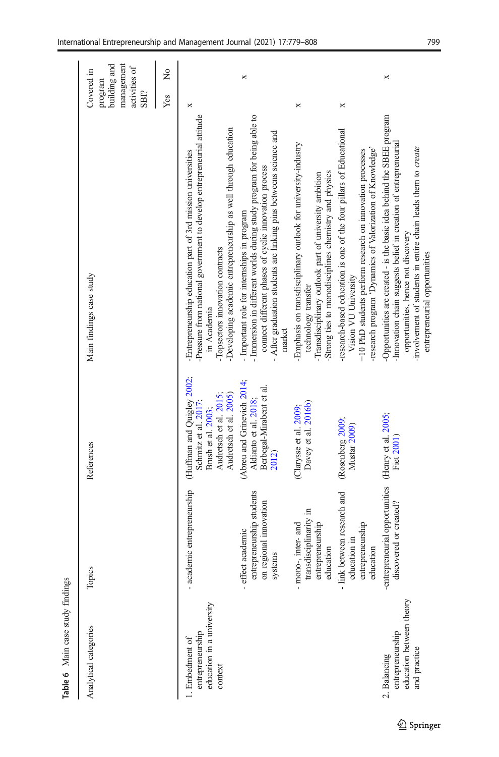<span id="page-20-0"></span>

| management<br>building and<br>activities of<br>Covered in<br>program<br>SBI? | ż   |                                                                                                                                                                                                                                                            | ×                                                                                                                                                                                                                                                             |                                                                                                                                                                                                        |                                                                                                                                                                                                                       | ×                                                                                                                                                                                                                                                                                |
|------------------------------------------------------------------------------|-----|------------------------------------------------------------------------------------------------------------------------------------------------------------------------------------------------------------------------------------------------------------|---------------------------------------------------------------------------------------------------------------------------------------------------------------------------------------------------------------------------------------------------------------|--------------------------------------------------------------------------------------------------------------------------------------------------------------------------------------------------------|-----------------------------------------------------------------------------------------------------------------------------------------------------------------------------------------------------------------------|----------------------------------------------------------------------------------------------------------------------------------------------------------------------------------------------------------------------------------------------------------------------------------|
|                                                                              | Yes | ×                                                                                                                                                                                                                                                          |                                                                                                                                                                                                                                                               | ×                                                                                                                                                                                                      | ×                                                                                                                                                                                                                     |                                                                                                                                                                                                                                                                                  |
| Main findings case study                                                     |     | Pressure from national government to develop entrepreneurial attitude<br>-Developing academic entrepreneurship as well through education<br>-Entrepreneurship education part of 3rd mission universities<br>Topsectors innovation contracts<br>in Academia | - Immersion in different worlds during study program for being able to<br>- After graduation students are linking pins betweens science and<br>connect different phases of cyclic innovation process<br>- Important role for internships in program<br>market | -Emphasis on transdisciplinary outlook for university-industry<br>Strong ties to monodisciplines chemistry and physics<br>Transdisciplinary outlook part of university ambition<br>technology transfer | -research-based education is one of the four pillars of Educational<br>-research program 'Dynamics of Valorization of Knowledge'<br>-10 PhD students perform research on innovation processes<br>Vision VU University | -Opportunities are created - is the basic idea behind the SBEE program<br>Innovation chain suggests belief in creation of entrepreneurial<br>involvement of students in entire chain leads them to create<br>opportunities, hence not discovery<br>entrepreneurial opportunities |
| References                                                                   |     | (Huffman and Quigley 2002;<br>Audretsch et al. 2015;<br>Audretsch et al. 2005)<br>Schmitz et al. 2017;<br>Brush et al. 2003;                                                                                                                               | (Abreu and Grinevich 2014;<br>Berbegal-Mirabent et al.<br>Aldianto et al. 2018;<br>2012)                                                                                                                                                                      | Davey et al. 2016b)<br>(Clarysse et al. 2009,                                                                                                                                                          | (Rosenberg 2009;<br>Mustar 2009)                                                                                                                                                                                      | Fiet 2001)                                                                                                                                                                                                                                                                       |
| Topics                                                                       |     | - academic entrepreneurship                                                                                                                                                                                                                                | entrepreneurship students<br>on regional innovation<br>- effect academic<br>systems                                                                                                                                                                           | transdisciplinarity in<br>entrepreneurship<br>- mono-, inter- and<br>education                                                                                                                         | - link between research and<br>entrepreneurship<br>education in<br>education                                                                                                                                          | -entrepreneurial opportunities (Henry et al. 2005;<br>discovered or created?                                                                                                                                                                                                     |
| Analytical categories                                                        |     | education in a university<br>entrepreneurship<br>1. Embedment of<br>context                                                                                                                                                                                |                                                                                                                                                                                                                                                               |                                                                                                                                                                                                        |                                                                                                                                                                                                                       | education between theory<br>entrepreneurship<br>and practice<br>2. Balancing                                                                                                                                                                                                     |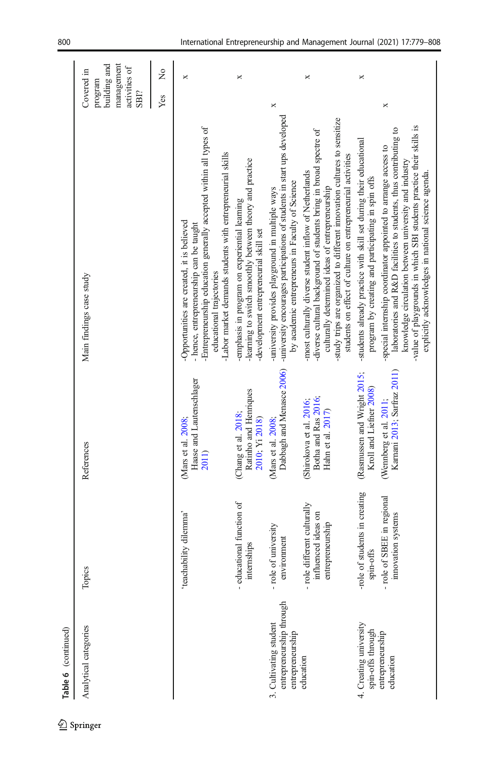| Table 6 (continued)                                                    |                                                                             |                                                                                  |                                                                                                                                                                                                                                                                                                                           |                                                                              |
|------------------------------------------------------------------------|-----------------------------------------------------------------------------|----------------------------------------------------------------------------------|---------------------------------------------------------------------------------------------------------------------------------------------------------------------------------------------------------------------------------------------------------------------------------------------------------------------------|------------------------------------------------------------------------------|
| Analytical categories                                                  | Topics                                                                      | References                                                                       | Main findings case study                                                                                                                                                                                                                                                                                                  | building and<br>management<br>activities of<br>Covered in<br>program<br>SBI? |
|                                                                        |                                                                             |                                                                                  |                                                                                                                                                                                                                                                                                                                           | ž<br>Yes                                                                     |
|                                                                        | 'teachability dilemma'                                                      | Haase and Lautenschlager<br>(Mars et al. 2008;<br><b>2011</b> )                  | Entrepreneurship education generally accepted within all types of<br>-Labor market demands students with entrepreneurial skills<br>Opportunities are created, it is believed<br>- hence, entrepreneurship can be taught<br>educational trajectories                                                                       | ×                                                                            |
|                                                                        | - educational function of<br>internships                                    | Ratinho and Henriques<br>(Chang et al. 2018;<br>2010; Yi 2018)                   | -learning to switch smoothly between theory and practice<br>emphasis in program on experiential learning<br>development entrepreneurial skill set                                                                                                                                                                         | ×                                                                            |
| entrepreneurship through<br>3. Cultivating student<br>entrepreneurship | - role of university<br>environment                                         | Dabbagh and Menasce 2006)<br>Mars et al. 2008;                                   | -university encourages participations of students in start ups developed<br>by academic entrepreneurs in Faculty of Science<br>-university provides playground in multiple ways                                                                                                                                           | ×                                                                            |
| education                                                              | - role different culturally<br>influenced ideas on<br>entrepreneurship      | Botha and Ras 2016;<br>(Shirokova et al. 2016;<br>Hahn et al. 2017)              | study trips are organized to different innovation cultures to sensitize<br>-diverse cultural background of students bring in broad spectre of<br>students on effect of culture on entrepreneurial activities<br>-most culturally diverse student inflow of Netherlands<br>culturally determined ideas of entrepreneurship | ×                                                                            |
| 4. Creating university<br>spin-offs through<br>entrepreneurship        | students in creating<br>- role of SBEE in regional<br>spin-offs<br>-role of | (Rasmussen and Wright 2015;<br>Kroll and Liefner 2008)<br>(Wennberg et al. 2011; | -students already practice with skill set during their educational<br>-special internship coordinator appointed to arrange access to<br>program by creating and participating in spin offs                                                                                                                                | ×<br>×                                                                       |
| education                                                              | innovation systems                                                          | Karnani 2013; Sarfraz 2011)                                                      | -value of playgrounds in which SBI students practice their skills is<br>laboratories and R&D facilities to students, thus contributing to<br>knowledge circulation between university and industry<br>explicitly acknowledges in national science agenda.                                                                 |                                                                              |

 $\underline{\circledcirc}$  Springer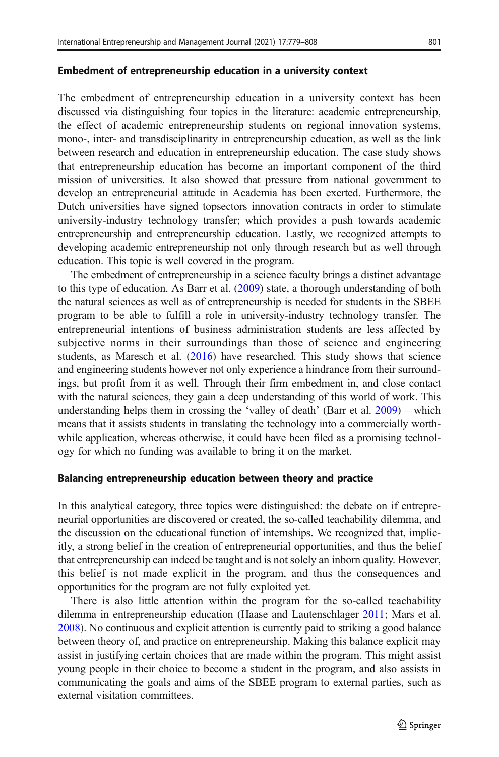#### Embedment of entrepreneurship education in a university context

The embedment of entrepreneurship education in a university context has been discussed via distinguishing four topics in the literature: academic entrepreneurship, the effect of academic entrepreneurship students on regional innovation systems, mono-, inter- and transdisciplinarity in entrepreneurship education, as well as the link between research and education in entrepreneurship education. The case study shows that entrepreneurship education has become an important component of the third mission of universities. It also showed that pressure from national government to develop an entrepreneurial attitude in Academia has been exerted. Furthermore, the Dutch universities have signed topsectors innovation contracts in order to stimulate university-industry technology transfer; which provides a push towards academic entrepreneurship and entrepreneurship education. Lastly, we recognized attempts to developing academic entrepreneurship not only through research but as well through education. This topic is well covered in the program.

The embedment of entrepreneurship in a science faculty brings a distinct advantage to this type of education. As Barr et al. [\(2009\)](#page-26-0) state, a thorough understanding of both the natural sciences as well as of entrepreneurship is needed for students in the SBEE program to be able to fulfill a role in university-industry technology transfer. The entrepreneurial intentions of business administration students are less affected by subjective norms in their surroundings than those of science and engineering students, as Maresch et al. ([2016](#page-27-0)) have researched. This study shows that science and engineering students however not only experience a hindrance from their surroundings, but profit from it as well. Through their firm embedment in, and close contact with the natural sciences, they gain a deep understanding of this world of work. This understanding helps them in crossing the 'valley of death' (Barr et al. [2009](#page-26-0)) – which means that it assists students in translating the technology into a commercially worthwhile application, whereas otherwise, it could have been filed as a promising technology for which no funding was available to bring it on the market.

#### Balancing entrepreneurship education between theory and practice

In this analytical category, three topics were distinguished: the debate on if entrepreneurial opportunities are discovered or created, the so-called teachability dilemma, and the discussion on the educational function of internships. We recognized that, implicitly, a strong belief in the creation of entrepreneurial opportunities, and thus the belief that entrepreneurship can indeed be taught and is not solely an inborn quality. However, this belief is not made explicit in the program, and thus the consequences and opportunities for the program are not fully exploited yet.

There is also little attention within the program for the so-called teachability dilemma in entrepreneurship education (Haase and Lautenschlager [2011;](#page-27-0) Mars et al. [2008\)](#page-27-0). No continuous and explicit attention is currently paid to striking a good balance between theory of, and practice on entrepreneurship. Making this balance explicit may assist in justifying certain choices that are made within the program. This might assist young people in their choice to become a student in the program, and also assists in communicating the goals and aims of the SBEE program to external parties, such as external visitation committees.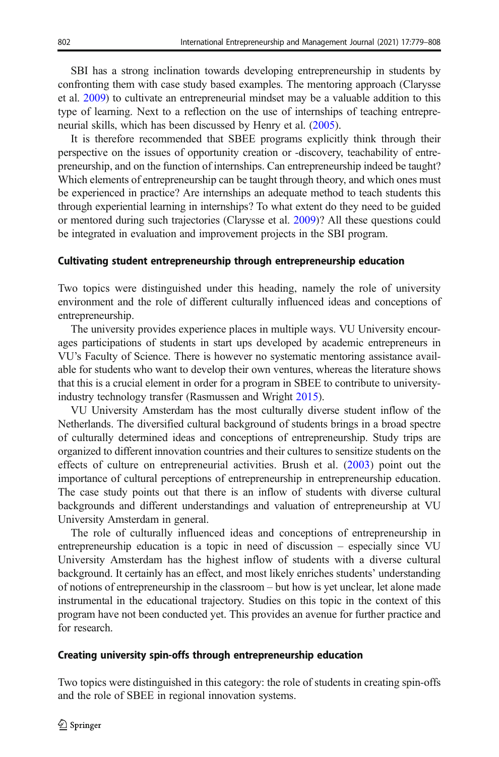SBI has a strong inclination towards developing entrepreneurship in students by confronting them with case study based examples. The mentoring approach (Clarysse et al. [2009](#page-26-0)) to cultivate an entrepreneurial mindset may be a valuable addition to this type of learning. Next to a reflection on the use of internships of teaching entrepreneurial skills, which has been discussed by Henry et al. [\(2005](#page-27-0)).

It is therefore recommended that SBEE programs explicitly think through their perspective on the issues of opportunity creation or -discovery, teachability of entrepreneurship, and on the function of internships. Can entrepreneurship indeed be taught? Which elements of entrepreneurship can be taught through theory, and which ones must be experienced in practice? Are internships an adequate method to teach students this through experiential learning in internships? To what extent do they need to be guided or mentored during such trajectories (Clarysse et al. [2009](#page-26-0))? All these questions could be integrated in evaluation and improvement projects in the SBI program.

### Cultivating student entrepreneurship through entrepreneurship education

Two topics were distinguished under this heading, namely the role of university environment and the role of different culturally influenced ideas and conceptions of entrepreneurship.

The university provides experience places in multiple ways. VU University encourages participations of students in start ups developed by academic entrepreneurs in VU's Faculty of Science. There is however no systematic mentoring assistance available for students who want to develop their own ventures, whereas the literature shows that this is a crucial element in order for a program in SBEE to contribute to universityindustry technology transfer (Rasmussen and Wright [2015](#page-28-0)).

VU University Amsterdam has the most culturally diverse student inflow of the Netherlands. The diversified cultural background of students brings in a broad spectre of culturally determined ideas and conceptions of entrepreneurship. Study trips are organized to different innovation countries and their cultures to sensitize students on the effects of culture on entrepreneurial activities. Brush et al. ([2003\)](#page-26-0) point out the importance of cultural perceptions of entrepreneurship in entrepreneurship education. The case study points out that there is an inflow of students with diverse cultural backgrounds and different understandings and valuation of entrepreneurship at VU University Amsterdam in general.

The role of culturally influenced ideas and conceptions of entrepreneurship in entrepreneurship education is a topic in need of discussion – especially since VU University Amsterdam has the highest inflow of students with a diverse cultural background. It certainly has an effect, and most likely enriches students' understanding of notions of entrepreneurship in the classroom – but how is yet unclear, let alone made instrumental in the educational trajectory. Studies on this topic in the context of this program have not been conducted yet. This provides an avenue for further practice and for research.

#### Creating university spin-offs through entrepreneurship education

Two topics were distinguished in this category: the role of students in creating spin-offs and the role of SBEE in regional innovation systems.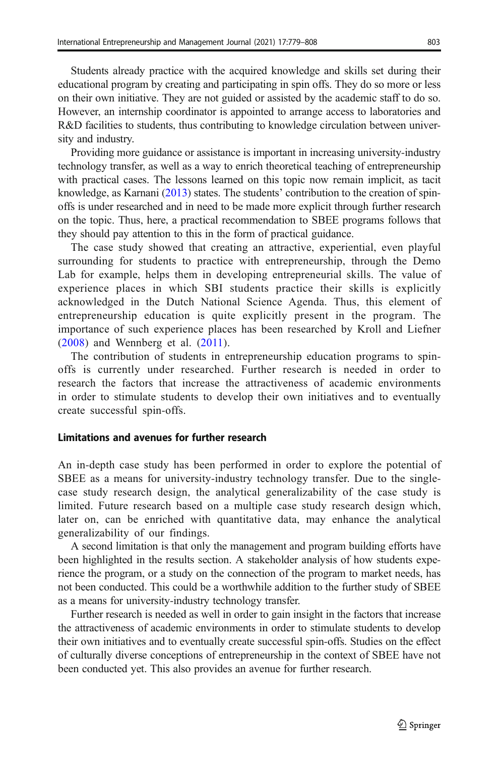Students already practice with the acquired knowledge and skills set during their educational program by creating and participating in spin offs. They do so more or less on their own initiative. They are not guided or assisted by the academic staff to do so. However, an internship coordinator is appointed to arrange access to laboratories and R&D facilities to students, thus contributing to knowledge circulation between university and industry.

Providing more guidance or assistance is important in increasing university-industry technology transfer, as well as a way to enrich theoretical teaching of entrepreneurship with practical cases. The lessons learned on this topic now remain implicit, as tacit knowledge, as Karnani ([2013](#page-27-0)) states. The students' contribution to the creation of spinoffs is under researched and in need to be made more explicit through further research on the topic. Thus, here, a practical recommendation to SBEE programs follows that they should pay attention to this in the form of practical guidance.

The case study showed that creating an attractive, experiential, even playful surrounding for students to practice with entrepreneurship, through the Demo Lab for example, helps them in developing entrepreneurial skills. The value of experience places in which SBI students practice their skills is explicitly acknowledged in the Dutch National Science Agenda. Thus, this element of entrepreneurship education is quite explicitly present in the program. The importance of such experience places has been researched by Kroll and Liefner [\(2008\)](#page-27-0) and Wennberg et al. ([2011\)](#page-29-0).

The contribution of students in entrepreneurship education programs to spinoffs is currently under researched. Further research is needed in order to research the factors that increase the attractiveness of academic environments in order to stimulate students to develop their own initiatives and to eventually create successful spin-offs.

### Limitations and avenues for further research

An in-depth case study has been performed in order to explore the potential of SBEE as a means for university-industry technology transfer. Due to the singlecase study research design, the analytical generalizability of the case study is limited. Future research based on a multiple case study research design which, later on, can be enriched with quantitative data, may enhance the analytical generalizability of our findings.

A second limitation is that only the management and program building efforts have been highlighted in the results section. A stakeholder analysis of how students experience the program, or a study on the connection of the program to market needs, has not been conducted. This could be a worthwhile addition to the further study of SBEE as a means for university-industry technology transfer.

Further research is needed as well in order to gain insight in the factors that increase the attractiveness of academic environments in order to stimulate students to develop their own initiatives and to eventually create successful spin-offs. Studies on the effect of culturally diverse conceptions of entrepreneurship in the context of SBEE have not been conducted yet. This also provides an avenue for further research.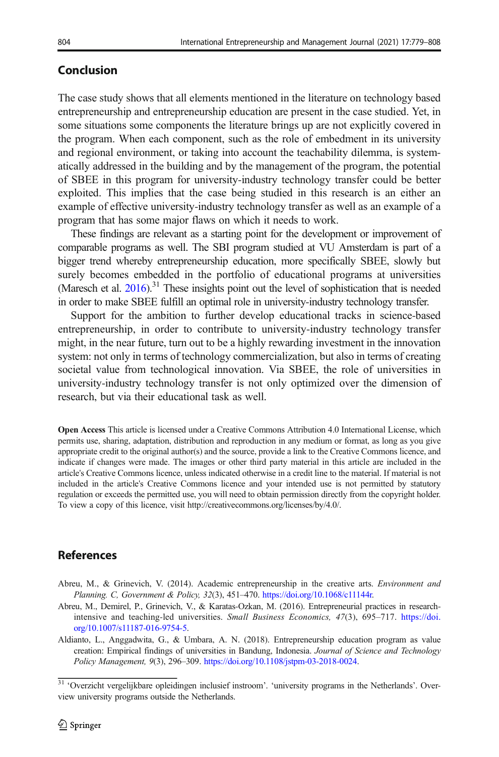# <span id="page-25-0"></span>Conclusion

The case study shows that all elements mentioned in the literature on technology based entrepreneurship and entrepreneurship education are present in the case studied. Yet, in some situations some components the literature brings up are not explicitly covered in the program. When each component, such as the role of embedment in its university and regional environment, or taking into account the teachability dilemma, is systematically addressed in the building and by the management of the program, the potential of SBEE in this program for university-industry technology transfer could be better exploited. This implies that the case being studied in this research is an either an example of effective university-industry technology transfer as well as an example of a program that has some major flaws on which it needs to work.

These findings are relevant as a starting point for the development or improvement of comparable programs as well. The SBI program studied at VU Amsterdam is part of a bigger trend whereby entrepreneurship education, more specifically SBEE, slowly but surely becomes embedded in the portfolio of educational programs at universities (Maresch et al.  $2016$ ).<sup>31</sup> These insights point out the level of sophistication that is needed in order to make SBEE fulfill an optimal role in university-industry technology transfer.

Support for the ambition to further develop educational tracks in science-based entrepreneurship, in order to contribute to university-industry technology transfer might, in the near future, turn out to be a highly rewarding investment in the innovation system: not only in terms of technology commercialization, but also in terms of creating societal value from technological innovation. Via SBEE, the role of universities in university-industry technology transfer is not only optimized over the dimension of research, but via their educational task as well.

Open Access This article is licensed under a Creative Commons Attribution 4.0 International License, which permits use, sharing, adaptation, distribution and reproduction in any medium or format, as long as you give appropriate credit to the original author(s) and the source, provide a link to the Creative Commons licence, and indicate if changes were made. The images or other third party material in this article are included in the article's Creative Commons licence, unless indicated otherwise in a credit line to the material. If material is not included in the article's Creative Commons licence and your intended use is not permitted by statutory regulation or exceeds the permitted use, you will need to obtain permission directly from the copyright holder. To view a copy of this licence, visit http://creativecommons.org/licenses/by/4.0/.

### References

- Abreu, M., & Grinevich, V. (2014). Academic entrepreneurship in the creative arts. Environment and Planning. C, Government & Policy, 32(3), 451–470. [https://doi.org/10.1068/c11144r.](https://doi.org/10.1068/c11144r)
- Abreu, M., Demirel, P., Grinevich, V., & Karatas-Ozkan, M. (2016). Entrepreneurial practices in researchintensive and teaching-led universities. Small Business Economics, 47(3), 695–717. [https://doi.](https://doi.org/10.1007/s11187-016-9754-5) [org/10.1007/s11187-016-9754-5.](https://doi.org/10.1007/s11187-016-9754-5)
- Aldianto, L., Anggadwita, G., & Umbara, A. N. (2018). Entrepreneurship education program as value creation: Empirical findings of universities in Bandung, Indonesia. Journal of Science and Technology Policy Management, 9(3), 296–309. [https://doi.org/10.1108/jstpm-03-2018-0024.](https://doi.org/10.1108/jstpm-03-2018-0024)

<sup>&</sup>lt;sup>31</sup> 'Overzicht vergelijkbare opleidingen inclusief instroom'. 'university programs in the Netherlands'. Overview university programs outside the Netherlands.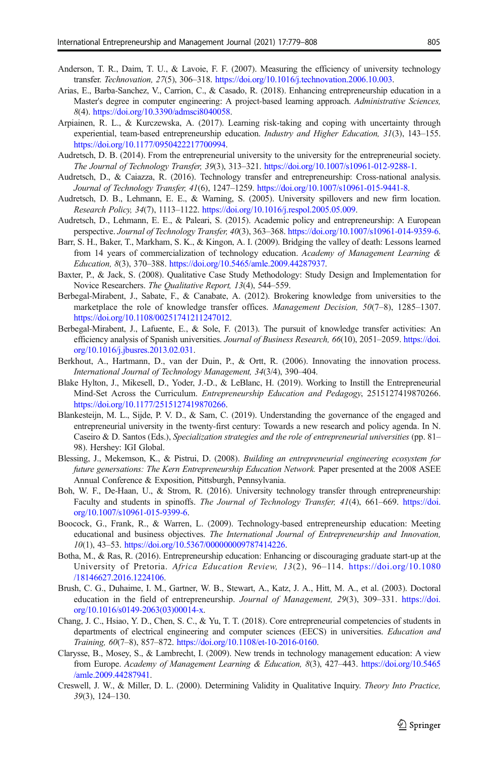- <span id="page-26-0"></span>Anderson, T. R., Daim, T. U., & Lavoie, F. F. (2007). Measuring the efficiency of university technology transfer. Technovation, 27(5), 306–318. [https://doi.org/10.1016/j.technovation.2006.10.003.](https://doi.org/10.1016/j.technovation.2006.10.003)
- Arias, E., Barba-Sanchez, V., Carrion, C., & Casado, R. (2018). Enhancing entrepreneurship education in a Master's degree in computer engineering: A project-based learning approach. Administrative Sciences, 8(4). [https://doi.org/10.3390/admsci8040058.](https://doi.org/10.3390/admsci8040058)
- Arpiainen, R. L., & Kurczewska, A. (2017). Learning risk-taking and coping with uncertainty through experiential, team-based entrepreneurship education. Industry and Higher Education, 31(3), 143–155. [https://doi.org/10.1177/0950422217700994.](https://doi.org/10.1177/0950422217700994)
- Audretsch, D. B. (2014). From the entrepreneurial university to the university for the entrepreneurial society. The Journal of Technology Transfer, 39(3), 313–321. <https://doi.org/10.1007/s10961-012-9288-1>.
- Audretsch, D., & Caiazza, R. (2016). Technology transfer and entrepreneurship: Cross-national analysis. Journal of Technology Transfer, 41(6), 1247–1259. <https://doi.org/10.1007/s10961-015-9441-8>.
- Audretsch, D. B., Lehmann, E. E., & Warning, S. (2005). University spillovers and new firm location. Research Policy, 34(7), 1113–1122. <https://doi.org/10.1016/j.respol.2005.05.009>.
- Audretsch, D., Lehmann, E. E., & Paleari, S. (2015). Academic policy and entrepreneurship: A European perspective. Journal of Technology Transfer, 40(3), 363–368. <https://doi.org/10.1007/s10961-014-9359-6>.
- Barr, S. H., Baker, T., Markham, S. K., & Kingon, A. I. (2009). Bridging the valley of death: Lessons learned from 14 years of commercialization of technology education. Academy of Management Learning & Education, 8(3), 370–388. <https://doi.org/10.5465/amle.2009.44287937>.
- Baxter, P., & Jack, S. (2008). Qualitative Case Study Methodology: Study Design and Implementation for Novice Researchers. The Qualitative Report, 13(4), 544–559.
- Berbegal-Mirabent, J., Sabate, F., & Canabate, A. (2012). Brokering knowledge from universities to the marketplace the role of knowledge transfer offices. *Management Decision*, 50(7–8), 1285–1307. <https://doi.org/10.1108/00251741211247012>.
- Berbegal-Mirabent, J., Lafuente, E., & Sole, F. (2013). The pursuit of knowledge transfer activities: An efficiency analysis of Spanish universities. Journal of Business Research, 66(10), 2051–2059. [https://doi.](https://doi.org/10.1016/j.jbusres.2013.02.031) [org/10.1016/j.jbusres.2013.02.031](https://doi.org/10.1016/j.jbusres.2013.02.031).
- Berkhout, A., Hartmann, D., van der Duin, P., & Ortt, R. (2006). Innovating the innovation process. International Journal of Technology Management, 34(3/4), 390–404.
- Blake Hylton, J., Mikesell, D., Yoder, J.-D., & LeBlanc, H. (2019). Working to Instill the Entrepreneurial Mind-Set Across the Curriculum. Entrepreneurship Education and Pedagogy, 2515127419870266. [https://doi.org/10.1177/2515127419870266.](https://doi.org/10.1177/2515127419870266)
- Blankesteijn, M. L., Sijde, P. V. D., & Sam, C. (2019). Understanding the governance of the engaged and entrepreneurial university in the twenty-first century: Towards a new research and policy agenda. In N. Caseiro & D. Santos (Eds.), Specialization strategies and the role of entrepreneurial universities (pp. 81– 98). Hershey: IGI Global.
- Blessing, J., Mekemson, K., & Pistrui, D. (2008). Building an entrepreneurial engineering ecosystem for future genersations: The Kern Entrepreneurship Education Network. Paper presented at the 2008 ASEE Annual Conference & Exposition, Pittsburgh, Pennsylvania.
- Boh, W. F., De-Haan, U., & Strom, R. (2016). University technology transfer through entrepreneurship: Faculty and students in spinoffs. The Journal of Technology Transfer, 41(4), 661–669. [https://doi.](https://doi.org/10.1007/s10961-015-9399-6) [org/10.1007/s10961-015-9399-6](https://doi.org/10.1007/s10961-015-9399-6).
- Boocock, G., Frank, R., & Warren, L. (2009). Technology-based entrepreneurship education: Meeting educational and business objectives. The International Journal of Entrepreneurship and Innovation, 10(1), 43–53. <https://doi.org/10.5367/000000009787414226>.
- Botha, M., & Ras, R. (2016). Entrepreneurship education: Enhancing or discouraging graduate start-up at the University of Pretoria. Africa Education Review, 13(2), 96–114. [https://doi.org/10.1080](https://doi.org/10.1080/18146627.2016.1224106) [/18146627.2016.1224106](https://doi.org/10.1080/18146627.2016.1224106).
- Brush, C. G., Duhaime, I. M., Gartner, W. B., Stewart, A., Katz, J. A., Hitt, M. A., et al. (2003). Doctoral education in the field of entrepreneurship. Journal of Management, 29(3), 309–331. [https://doi.](https://doi.org/10.1016/s0149-2063(03)00014-x) [org/10.1016/s0149-2063\(03\)00014-x](https://doi.org/10.1016/s0149-2063(03)00014-x).
- Chang, J. C., Hsiao, Y. D., Chen, S. C., & Yu, T. T. (2018). Core entrepreneurial competencies of students in departments of electrical engineering and computer sciences (EECS) in universities. Education and Training, 60(7–8), 857–872. <https://doi.org/10.1108/et-10-2016-0160>.
- Clarysse, B., Mosey, S., & Lambrecht, I. (2009). New trends in technology management education: A view from Europe. Academy of Management Learning & Education, 8(3), 427–443. [https://doi.org/10.5465](https://doi.org/10.5465/amle.2009.44287941) [/amle.2009.44287941](https://doi.org/10.5465/amle.2009.44287941).
- Creswell, J. W., & Miller, D. L. (2000). Determining Validity in Qualitative Inquiry. Theory Into Practice, 39(3), 124–130.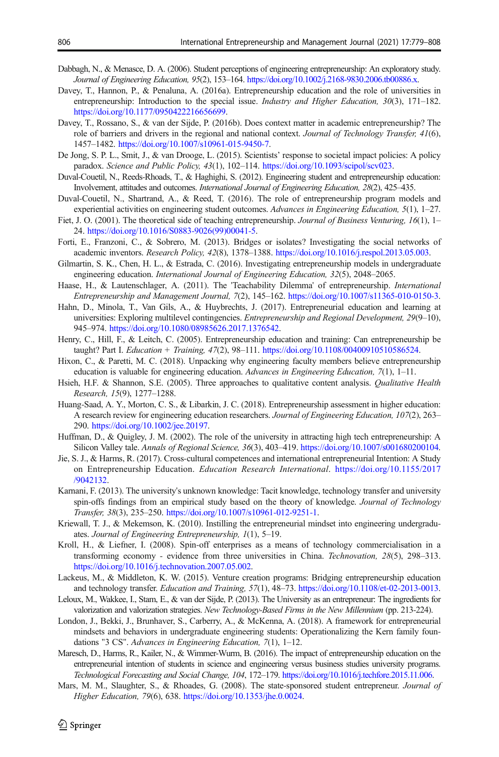- <span id="page-27-0"></span>Dabbagh, N., & Menasce, D. A. (2006). Student perceptions of engineering entrepreneurship: An exploratory study. Journal of Engineering Education, 95(2), 153–164. [https://doi.org/10.1002/j.2168-9830.2006.tb00886.x.](https://doi.org/10.1002/j.2168-9830.2006.tb00886.x)
- Davey, T., Hannon, P., & Penaluna, A. (2016a). Entrepreneurship education and the role of universities in entrepreneurship: Introduction to the special issue. Industry and Higher Education, 30(3), 171-182. [https://doi.org/10.1177/0950422216656699.](https://doi.org/10.1177/0950422216656699)
- Davey, T., Rossano, S., & van der Sijde, P. (2016b). Does context matter in academic entrepreneurship? The role of barriers and drivers in the regional and national context. Journal of Technology Transfer, 41(6), 1457–1482. [https://doi.org/10.1007/s10961-015-9450-7.](https://doi.org/10.1007/s10961-015-9450-7)
- De Jong, S. P. L., Smit, J., & van Drooge, L. (2015). Scientists' response to societal impact policies: A policy paradox. Science and Public Policy, 43(1), 102–114. <https://doi.org/10.1093/scipol/scv023>.
- Duval-Couetil, N., Reeds-Rhoads, T., & Haghighi, S. (2012). Engineering student and entrepreneurship education: Involvement, attitudes and outcomes. International Journal of Engineering Education, 28(2), 425–435.
- Duval-Couetil, N., Shartrand, A., & Reed, T. (2016). The role of entrepreneurship program models and experiential activities on engineering student outcomes. Advances in Engineering Education, 5(1), 1–27.
- Fiet, J. O. (2001). The theoretical side of teaching entrepreneurship. Journal of Business Venturing, 16(1), 1– 24. [https://doi.org/10.1016/S0883-9026\(99\)00041-5](https://doi.org/10.1016/S0883-9026(99)00041-5).
- Forti, E., Franzoni, C., & Sobrero, M. (2013). Bridges or isolates? Investigating the social networks of academic inventors. Research Policy, 42(8), 1378–1388. [https://doi.org/10.1016/j.respol.2013.05.003.](https://doi.org/10.1016/j.respol.2013.05.003)
- Gilmartin, S. K., Chen, H. L., & Estrada, C. (2016). Investigating entrepreneurship models in undergraduate engineering education. *International Journal of Engineering Education*, 32(5), 2048–2065.
- Haase, H., & Lautenschlager, A. (2011). The 'Teachability Dilemma' of entrepreneurship. International Entrepreneurship and Management Journal, 7(2), 145–162. <https://doi.org/10.1007/s11365-010-0150-3>.
- Hahn, D., Minola, T., Van Gils, A., & Huybrechts, J. (2017). Entrepreneurial education and learning at universities: Exploring multilevel contingencies. Entrepreneurship and Regional Development, 29(9–10), 945–974. [https://doi.org/10.1080/08985626.2017.1376542.](https://doi.org/10.1080/08985626.2017.1376542)
- Henry, C., Hill, F., & Leitch, C. (2005). Entrepreneurship education and training: Can entrepreneurship be taught? Part I. Education + Training, 47(2), 98–111. [https://doi.org/10.1108/00400910510586524.](https://doi.org/10.1108/00400910510586524)
- Hixon, C., & Paretti, M. C. (2018). Unpacking why engineering faculty members believe entrepreneurship education is valuable for engineering education. Advances in Engineering Education, 7(1), 1–11.
- Hsieh, H.F. & Shannon, S.E. (2005). Three approaches to qualitative content analysis. *Qualitative Health* Research, 15(9), 1277–1288.
- Huang-Saad, A. Y., Morton, C. S., & Libarkin, J. C. (2018). Entrepreneurship assessment in higher education: A research review for engineering education researchers. Journal of Engineering Education, 107(2), 263– 290. [https://doi.org/10.1002/jee.20197.](https://doi.org/10.1002/jee.20197)
- Huffman, D., & Quigley, J. M. (2002). The role of the university in attracting high tech entrepreneurship: A Silicon Valley tale. Annals of Regional Science, 36(3), 403–419. <https://doi.org/10.1007/s001680200104>.
- Jie, S. J., & Harms, R. (2017). Cross-cultural competences and international entrepreneurial Intention: A Study on Entrepreneurship Education. Education Research International. [https://doi.org/10.1155/2017](https://doi.org/10.1155/2017/9042132) [/9042132](https://doi.org/10.1155/2017/9042132).
- Karnani, F. (2013). The university's unknown knowledge: Tacit knowledge, technology transfer and university spin-offs findings from an empirical study based on the theory of knowledge. Journal of Technology Transfer, 38(3), 235–250. <https://doi.org/10.1007/s10961-012-9251-1>.
- Kriewall, T. J., & Mekemson, K. (2010). Instilling the entrepreneurial mindset into engineering undergraduates. Journal of Engineering Entrepreneurship, 1(1), 5–19.
- Kroll, H., & Liefner, I. (2008). Spin-off enterprises as a means of technology commercialisation in a transforming economy - evidence from three universities in China. Technovation, 28(5), 298–313. [https://doi.org/10.1016/j.technovation.2007.05.002.](https://doi.org/10.1016/j.technovation.2007.05.002)
- Lackeus, M., & Middleton, K. W. (2015). Venture creation programs: Bridging entrepreneurship education and technology transfer. Education and Training, 57(1), 48–73. <https://doi.org/10.1108/et-02-2013-0013>.
- Leloux, M., Wakkee, I., Stam, E., & van der Sijde, P. (2013). The University as an entrepreneur: The ingredients for valorization and valorization strategies. New Technology-Based Firms in the New Millennium (pp. 213-224).
- London, J., Bekki, J., Brunhaver, S., Carberry, A., & McKenna, A. (2018). A framework for entrepreneurial mindsets and behaviors in undergraduate engineering students: Operationalizing the Kern family foundations "3 CS". Advances in Engineering Education, 7(1), 1–12.
- Maresch, D., Harms, R., Kailer, N., & Wimmer-Wurm, B. (2016). The impact of entrepreneurship education on the entrepreneurial intention of students in science and engineering versus business studies university programs. Technological Forecasting and Social Change, 104, 172–179. [https://doi.org/10.1016/j.techfore.2015.11.006.](https://doi.org/10.1016/j.techfore.2015.11.006)
- Mars, M. M., Slaughter, S., & Rhoades, G. (2008). The state-sponsored student entrepreneur. Journal of Higher Education, 79(6), 638. <https://doi.org/10.1353/jhe.0.0024>.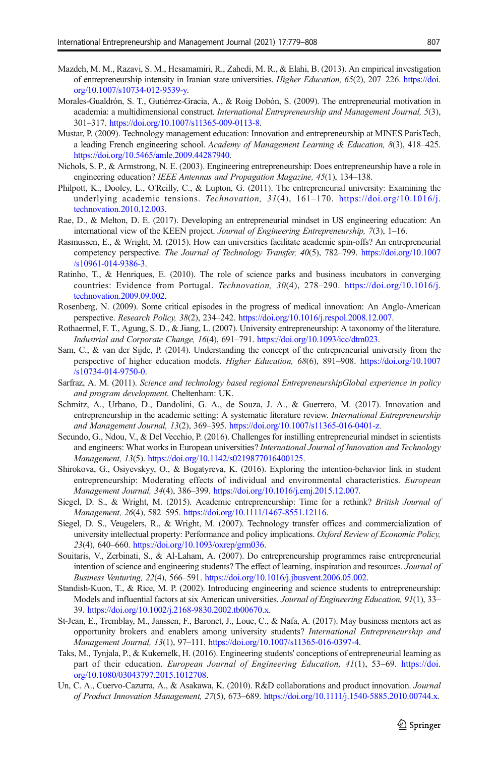- <span id="page-28-0"></span>Mazdeh, M. M., Razavi, S. M., Hesamamiri, R., Zahedi, M. R., & Elahi, B. (2013). An empirical investigation of entrepreneurship intensity in Iranian state universities. Higher Education, 65(2), 207–226. [https://doi.](https://doi.org/10.1007/s10734-012-9539-y) [org/10.1007/s10734-012-9539-y.](https://doi.org/10.1007/s10734-012-9539-y)
- Morales-Gualdrón, S. T., Gutiérrez-Gracia, A., & Roig Dobón, S. (2009). The entrepreneurial motivation in academia: a multidimensional construct. International Entrepreneurship and Management Journal, 5(3), 301–317. [https://doi.org/10.1007/s11365-009-0113-8.](https://doi.org/10.1007/s11365-009-0113-8)
- Mustar, P. (2009). Technology management education: Innovation and entrepreneurship at MINES ParisTech, a leading French engineering school. Academy of Management Learning & Education, 8(3), 418–425. <https://doi.org/10.5465/amle.2009.44287940>.
- Nichols, S. P., & Armstrong, N. E. (2003). Engineering entrepreneurship: Does entrepreneurship have a role in engineering education? IEEE Antennas and Propagation Magazine, 45(1), 134–138.
- Philpott, K., Dooley, L., O'Reilly, C., & Lupton, G. (2011). The entrepreneurial university: Examining the underlying academic tensions. Technovation,  $31(4)$ ,  $161-170$ . [https://doi.org/10.1016/j.](https://doi.org/10.1016/j.technovation.2010.12.003) [technovation.2010.12.003](https://doi.org/10.1016/j.technovation.2010.12.003).
- Rae, D., & Melton, D. E. (2017). Developing an entrepreneurial mindset in US engineering education: An international view of the KEEN project. Journal of Engineering Entrepreneurship, 7(3), 1–16.
- Rasmussen, E., & Wright, M. (2015). How can universities facilitate academic spin-offs? An entrepreneurial competency perspective. The Journal of Technology Transfer, 40(5), 782-799. [https://doi.org/10.1007](https://doi.org/10.1007/s10961-014-9386-3) [/s10961-014-9386-3.](https://doi.org/10.1007/s10961-014-9386-3)
- Ratinho, T., & Henriques, E. (2010). The role of science parks and business incubators in converging countries: Evidence from Portugal. Technovation, 30(4), 278–290. [https://doi.org/10.1016/j.](https://doi.org/10.1016/j.technovation.2009.09.002) [technovation.2009.09.002](https://doi.org/10.1016/j.technovation.2009.09.002).
- Rosenberg, N. (2009). Some critical episodes in the progress of medical innovation: An Anglo-American perspective. Research Policy, 38(2), 234–242. <https://doi.org/10.1016/j.respol.2008.12.007>.
- Rothaermel, F. T., Agung, S. D., & Jiang, L. (2007). University entrepreneurship: A taxonomy of the literature. Industrial and Corporate Change, 16(4), 691–791. [https://doi.org/10.1093/icc/dtm023.](https://doi.org/10.1093/icc/dtm023)
- Sam, C., & van der Sijde, P. (2014). Understanding the concept of the entrepreneurial university from the perspective of higher education models. Higher Education, 68(6), 891–908. [https://doi.org/10.1007](https://doi.org/10.1007/s10734-014-9750-0) [/s10734-014-9750-0.](https://doi.org/10.1007/s10734-014-9750-0)
- Sarfraz, A. M. (2011). Science and technology based regional EntrepreneurshipGlobal experience in policy and program development. Cheltenham: UK.
- Schmitz, A., Urbano, D., Dandolini, G. A., de Souza, J. A., & Guerrero, M. (2017). Innovation and entrepreneurship in the academic setting: A systematic literature review. International Entrepreneurship and Management Journal, 13(2), 369–395. <https://doi.org/10.1007/s11365-016-0401-z>.
- Secundo, G., Ndou, V., & Del Vecchio, P. (2016). Challenges for instilling entrepreneurial mindset in scientists and engineers: What works in European universities? International Journal of Innovation and Technology Management, 13(5). <https://doi.org/10.1142/s0219877016400125>.
- Shirokova, G., Osiyevskyy, O., & Bogatyreva, K. (2016). Exploring the intention-behavior link in student entrepreneurship: Moderating effects of individual and environmental characteristics. European Management Journal, 34(4), 386–399. [https://doi.org/10.1016/j.emj.2015.12.007.](https://doi.org/10.1016/j.emj.2015.12.007)
- Siegel, D. S., & Wright, M. (2015). Academic entrepreneurship: Time for a rethink? British Journal of Management, 26(4), 582–595. <https://doi.org/10.1111/1467-8551.12116>.
- Siegel, D. S., Veugelers, R., & Wright, M. (2007). Technology transfer offices and commercialization of university intellectual property: Performance and policy implications. Oxford Review of Economic Policy, 23(4), 640–660. [https://doi.org/10.1093/oxrep/grm036.](https://doi.org/10.1093/oxrep/grm036)
- Souitaris, V., Zerbinati, S., & Al-Laham, A. (2007). Do entrepreneurship programmes raise entrepreneurial intention of science and engineering students? The effect of learning, inspiration and resources. Journal of Business Venturing, 22(4), 566–591. [https://doi.org/10.1016/j.jbusvent.2006.05.002.](https://doi.org/10.1016/j.jbusvent.2006.05.002)
- Standish-Kuon, T., & Rice, M. P. (2002). Introducing engineering and science students to entrepreneurship: Models and influential factors at six American universities. Journal of Engineering Education, 91(1), 33– 39. [https://doi.org/10.1002/j.2168-9830.2002.tb00670.x.](https://doi.org/10.1002/j.2168-9830.2002.tb00670.x)
- St-Jean, E., Tremblay, M., Janssen, F., Baronet, J., Loue, C., & Nafa, A. (2017). May business mentors act as opportunity brokers and enablers among university students? International Entrepreneurship and Management Journal, 13(1), 97–111. <https://doi.org/10.1007/s11365-016-0397-4>.
- Taks, M., Tynjala, P., & Kukemelk, H. (2016). Engineering students' conceptions of entrepreneurial learning as part of their education. European Journal of Engineering Education, 41(1), 53-69. [https://doi.](https://doi.org/10.1080/03043797.2015.1012708) [org/10.1080/03043797.2015.1012708.](https://doi.org/10.1080/03043797.2015.1012708)
- Un, C. A., Cuervo-Cazurra, A., & Asakawa, K. (2010). R&D collaborations and product innovation. Journal of Product Innovation Management, 27(5), 673–689. [https://doi.org/10.1111/j.1540-5885.2010.00744.x.](https://doi.org/10.1111/j.1540-5885.2010.00744.x)